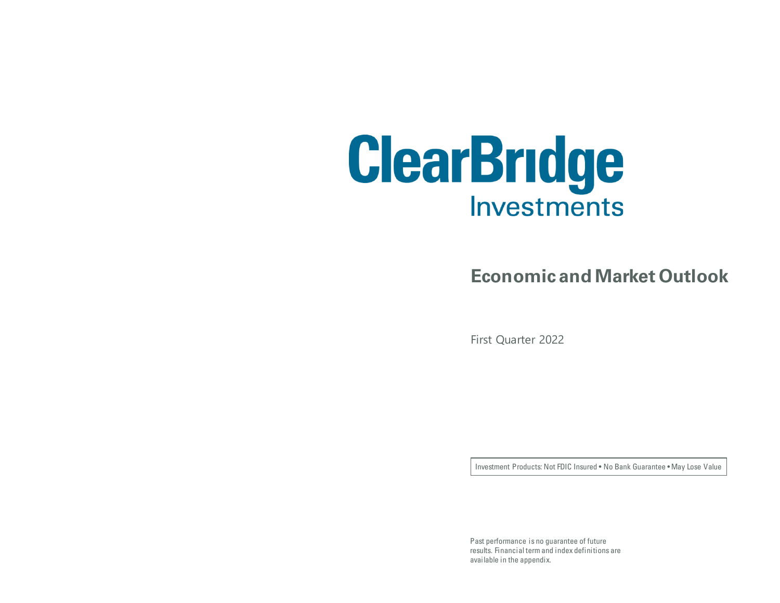

#### **Economic and Market Outlook**

First Quarter 2022

Investment Products: Not FDIC Insured • No Bank Guarantee • May Lose Value

Past performance is no guarantee of future results. Financial term and index definitions are available in the appendix.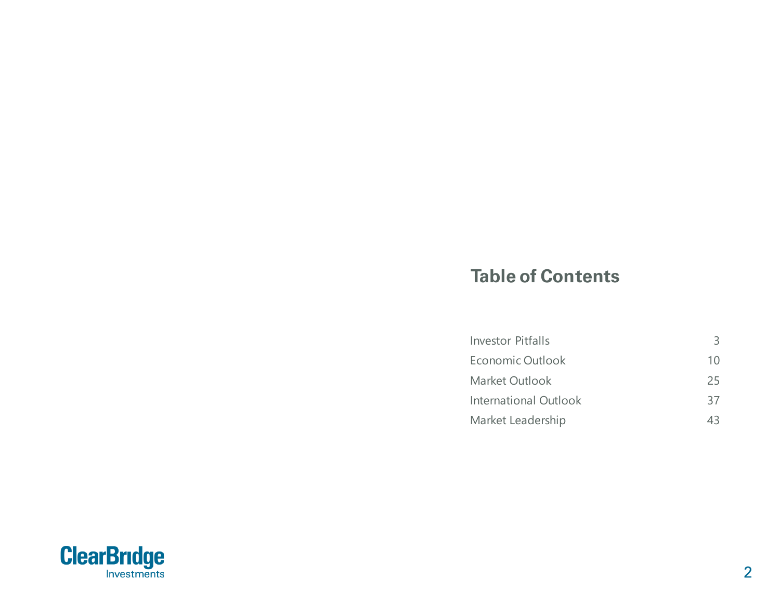#### **Table of Contents**

| Economic Outlook<br>Market Outlook<br><b>International Outlook</b> | <b>Investor Pitfalls</b> | 3  |
|--------------------------------------------------------------------|--------------------------|----|
|                                                                    |                          | 10 |
|                                                                    |                          | 25 |
|                                                                    |                          | 37 |
|                                                                    | Market Leadership        | 43 |

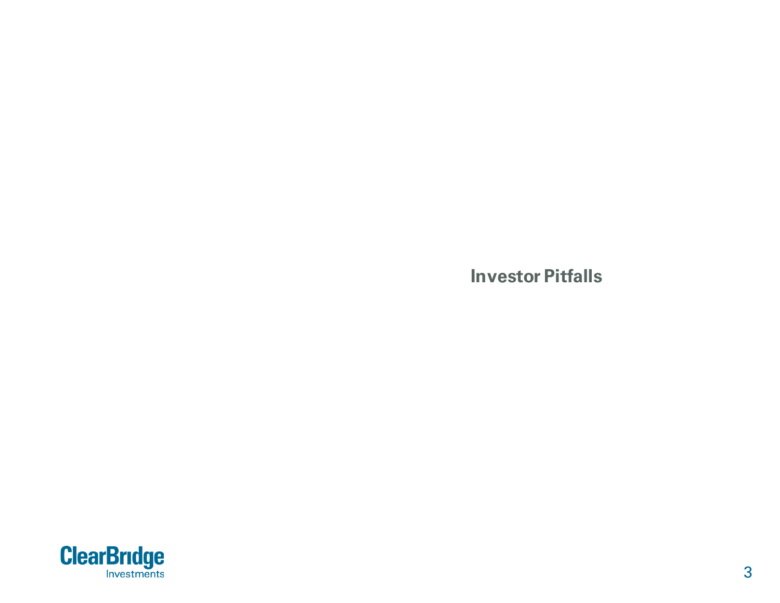**Investor Pitfalls**

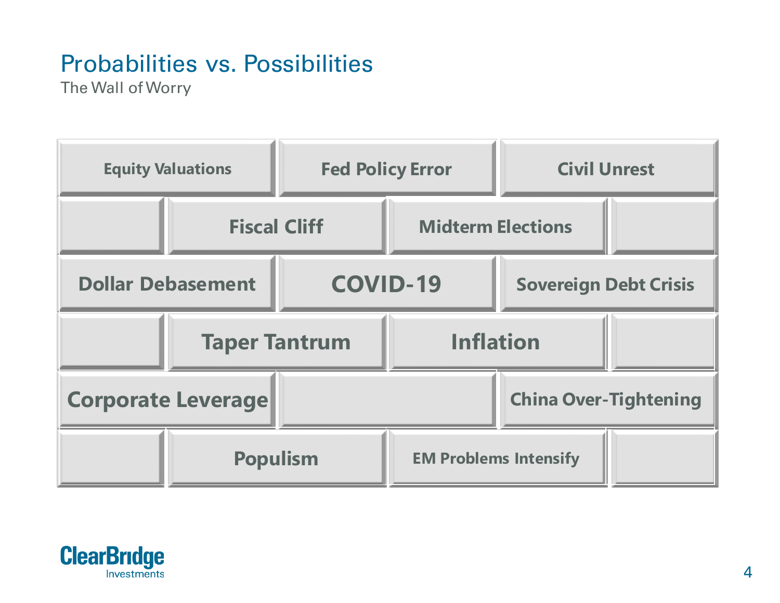# Probabilities vs. Possibilities

The Wall of Worry



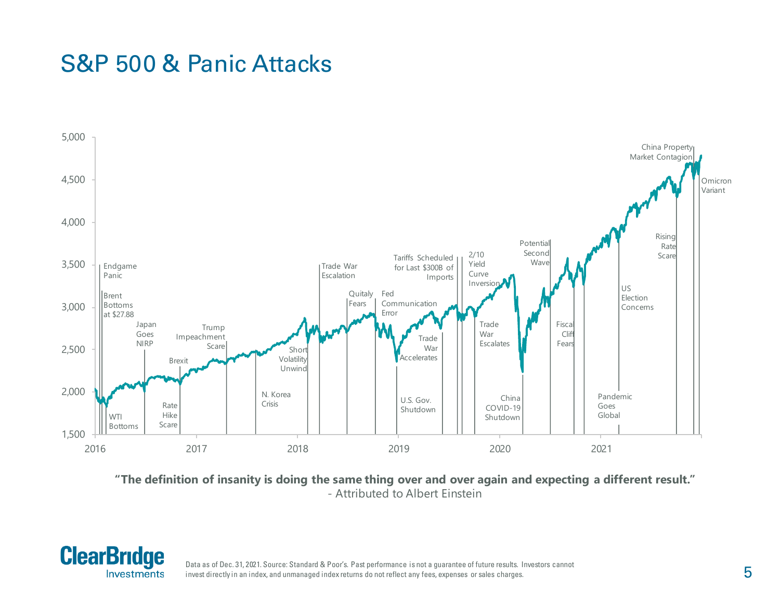#### S&P 500 & Panic Attacks



**"The definition of insanity is doing the same thing over and over again and expecting a different result."**  - Attributed to Albert Einstein



Data as of Dec. 31, 2021. Source: Standard & Poor's. Past performance is not a guarantee of future results. Investors cannot invest directly in an index, and unmanaged index returns do not reflect any fees, expenses or sales charges.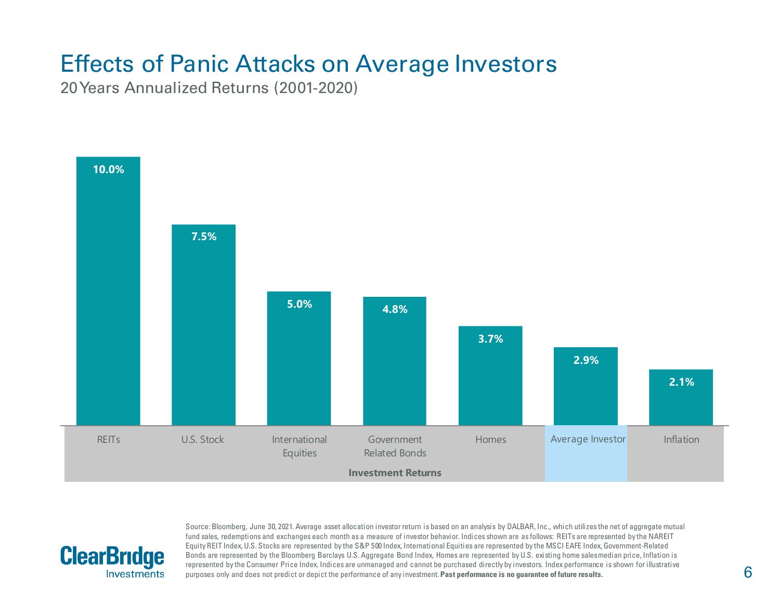## Effects of Panic Attacks on Average Investors

20 Years Annualized Returns (2001-2020)

**ClearBridge** 

**Investments** 



Source: Bloomberg, June 30, 2021. Average asset allocation investor return is based on an analysis by DALBAR, Inc., which utilizes the net of aggregate mutual fund sales, redemptions and exchanges each month as a measure of investor behavior. Indices shown are as follows: REITs are represented by the NAREIT Equity REIT Index, U.S. Stocks are represented by the S&P 500 Index, International Equities are represented by the MSCI EAFE Index, Government-Related Bonds are represented by the Bloomberg Barclays U.S. Aggregate Bond Index, Homes are represented by U.S. existing home sales median price, Inflation is represented by the Consumer Price Index. Indices are unmanaged and cannot be purchased directly by investors. Index performance is shown for illustrative purposes only and does not predict or depict the performance of any investment. **Past performance is no guarantee of future results.**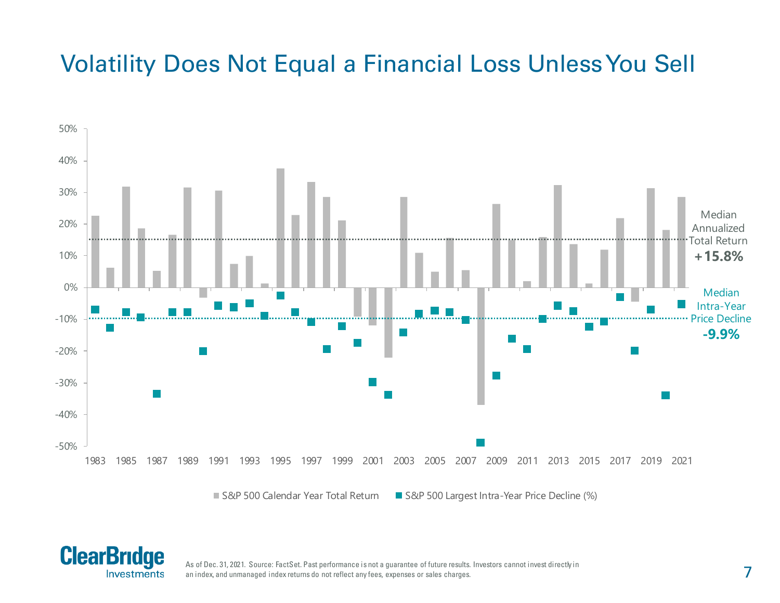## Volatility Does Not Equal a Financial Loss Unless You Sell



■ S&P 500 Calendar Year Total Return ■ S&P 500 Largest Intra-Year Price Decline (%)



As of Dec. 31, 2021. Source: FactSet. Past performance is not a guarantee of future results. Investors cannot invest directly in an index, and unmanaged index returns do not reflect any fees, expenses or sales charges.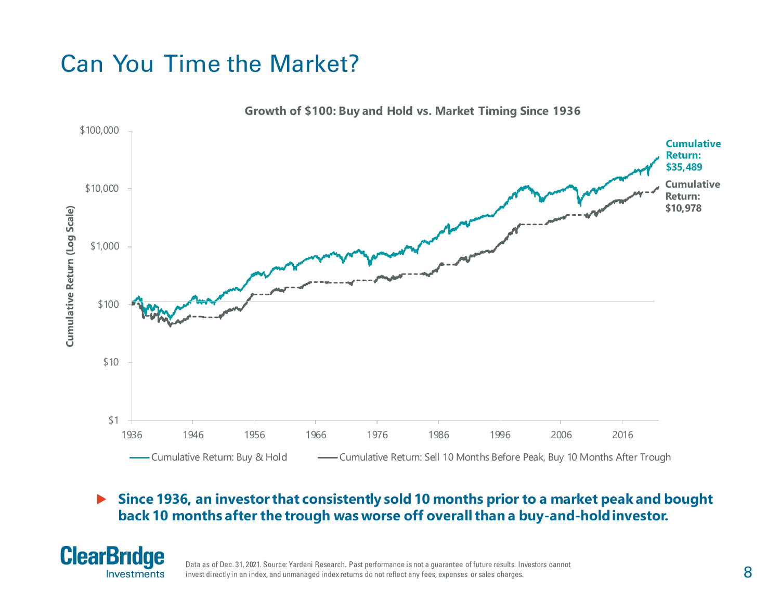## Can You Time the Market?



 **Since 1936, an investor that consistently sold 10 months prior to a market peak and bought back 10 months after the trough was worse off overall than a buy-and-hold investor.**



Data as of Dec. 31, 2021. Source: Yardeni Research. Past performance is not a guarantee of future results. Investors cannot invest directly in an index, and unmanaged index returns do not reflect any fees, expenses or sales charges.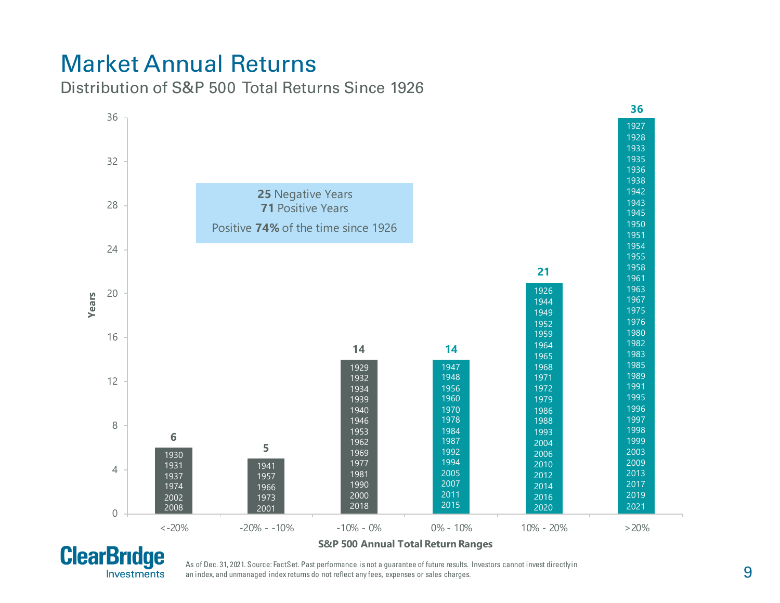### Market Annual Returns

Distribution of S&P 500 Total Returns Since 1926





#### **S&P 500 Annual Total Return Ranges**

As of Dec. 31, 2021. Source: FactSet. Past performance is not a guarantee of future results. Investors cannot invest directlyin an index, and unmanaged index returns do not reflect any fees, expenses or sales charges.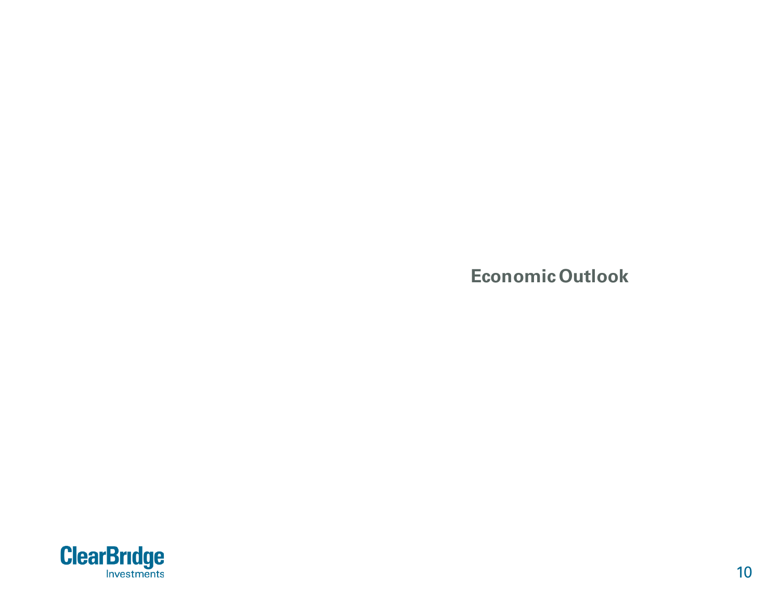**Economic Outlook**

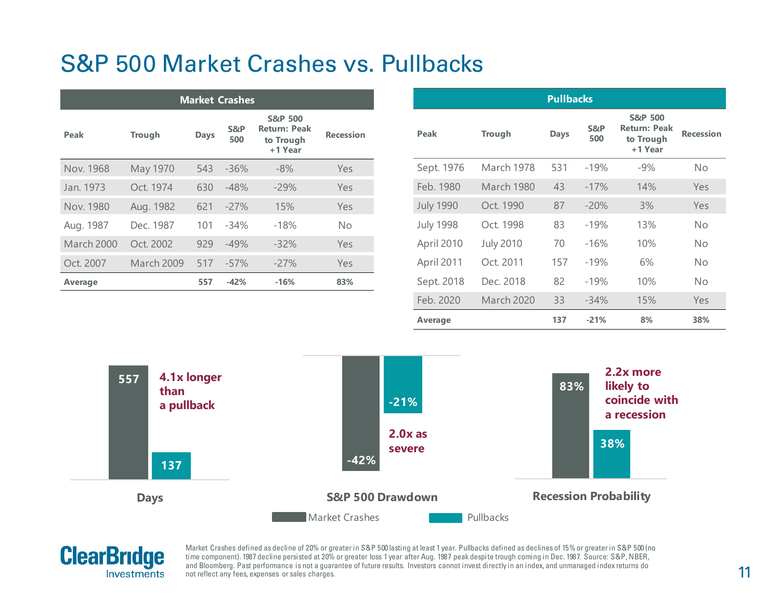### S&P 500 Market Crashes vs. Pullbacks

| <b>Market Crashes</b> |               |             |            |                                                                   |                  |
|-----------------------|---------------|-------------|------------|-------------------------------------------------------------------|------------------|
| Peak                  | <b>Trough</b> | <b>Days</b> | S&P<br>500 | <b>S&amp;P 500</b><br><b>Return: Peak</b><br>to Trough<br>+1 Year | <b>Recession</b> |
| Nov. 1968             | May 1970      | 543         | $-36%$     | $-8%$                                                             | Yes              |
| Jan. 1973             | Oct. 1974     | 630         | $-48%$     | $-29%$                                                            | Yes              |
| Nov. 1980             | Aug. 1982     | 621         | $-27%$     | 15%                                                               | Yes              |
| Aug. 1987             | Dec. 1987     | 101         | $-34%$     | $-18%$                                                            | <b>No</b>        |
| <b>March 2000</b>     | Oct. 2002     | 929         | $-49%$     | $-32%$                                                            | Yes              |
| Oct. 2007             | March 2009    | 517         | $-57%$     | $-27%$                                                            | Yes              |
| Average               |               | 557         | $-42%$     | $-16%$                                                            | 83%              |

| <b>Pullbacks</b> |                   |             |            |                                                                   |                  |  |  |
|------------------|-------------------|-------------|------------|-------------------------------------------------------------------|------------------|--|--|
| Peak             | <b>Trough</b>     | <b>Days</b> | S&P<br>500 | <b>S&amp;P 500</b><br><b>Return: Peak</b><br>to Trough<br>+1 Year | <b>Recession</b> |  |  |
| Sept. 1976       | March 1978        | 531         | $-19%$     | $-9\%$                                                            | No               |  |  |
| Feb. 1980        | March 1980        | 43          | $-17%$     | 14%                                                               | Yes              |  |  |
| <b>July 1990</b> | Oct. 1990         | 87          | $-20%$     | 3%                                                                | Yes              |  |  |
| <b>July 1998</b> | Oct. 1998         | 83          | $-19%$     | 13%                                                               | No               |  |  |
| April 2010       | <b>July 2010</b>  | 70          | $-16%$     | 10%                                                               | No               |  |  |
| April 2011       | Oct. 2011         | 157         | $-19%$     | 6%                                                                | No               |  |  |
| Sept. 2018       | Dec. 2018         | 82          | $-19%$     | 10%                                                               | No               |  |  |
| Feb. 2020        | <b>March 2020</b> | 33          | $-34%$     | 15%                                                               | Yes              |  |  |
| Average          |                   | 137         | $-21%$     | 8%                                                                | 38%              |  |  |





Market Crashes defined as decline of 20% or greater in S&P 500 lasting at least 1 year. Pullbacks defined as declines of 15% or greater in S&P 500 (no time component). 1987 decline persisted at 20% or greater loss 1 year after Aug. 1987 peak despite trough coming in Dec. 1987. Source: S&P, NBER, and Bloomberg. Past performance is not a guarantee of future results. Investors cannot invest directly in an index, and unmanaged index returns do not reflect any fees, expenses or sales charges.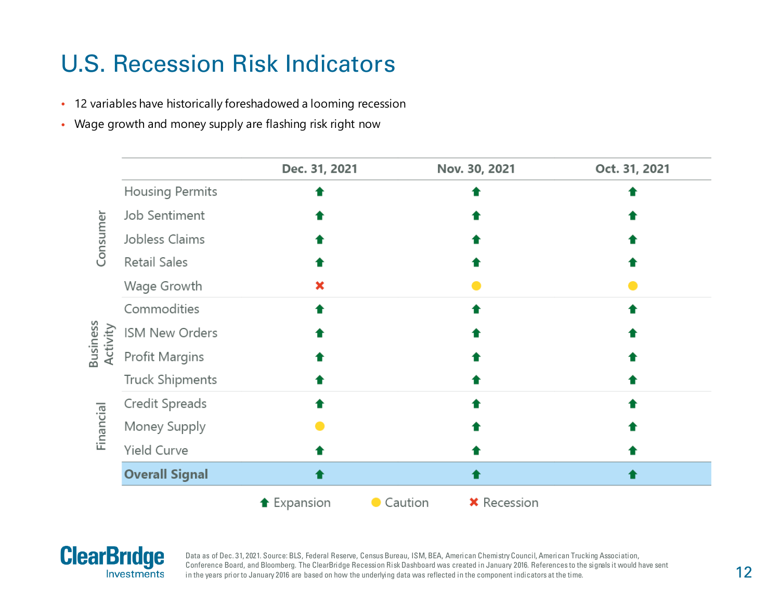## U.S. Recession Risk Indicators

- 12 variables have historically foreshadowed a looming recession
- Wage growth and money supply are flashing risk right now

|                              |                        | Dec. 31, 2021      |         | Nov. 30, 2021      | Oct. 31, 2021 |
|------------------------------|------------------------|--------------------|---------|--------------------|---------------|
|                              | <b>Housing Permits</b> |                    |         |                    |               |
|                              | Job Sentiment          |                    |         |                    |               |
| Consumer                     | Jobless Claims         |                    |         |                    |               |
|                              | Retail Sales           |                    |         |                    |               |
|                              | Wage Growth            |                    |         |                    |               |
|                              | Commodities            |                    |         |                    |               |
| <b>Dusiriess</b><br>Activity | ISM New Orders         |                    |         |                    |               |
|                              | Profit Margins         |                    |         |                    |               |
|                              | Truck Shipments        |                    |         |                    |               |
|                              | Credit Spreads         |                    |         |                    |               |
| Financial                    | Money Supply           |                    |         |                    |               |
|                              | Yield Curve            |                    |         |                    |               |
|                              | <b>Overall Signal</b>  |                    |         |                    |               |
|                              |                        | <b>↑</b> Expansion | Caution | <b>*</b> Recession |               |



ń

Data as of Dec. 31, 2021. Source: BLS, Federal Reserve, Census Bureau, ISM, BEA, American Chemistry Council, American Trucking Association, Conference Board, and Bloomberg. The ClearBridge Recession Risk Dashboard was created in January 2016. References to the signals it would have sent in the years prior to January 2016 are based on how the underlying data was reflected in the component indicators at the time.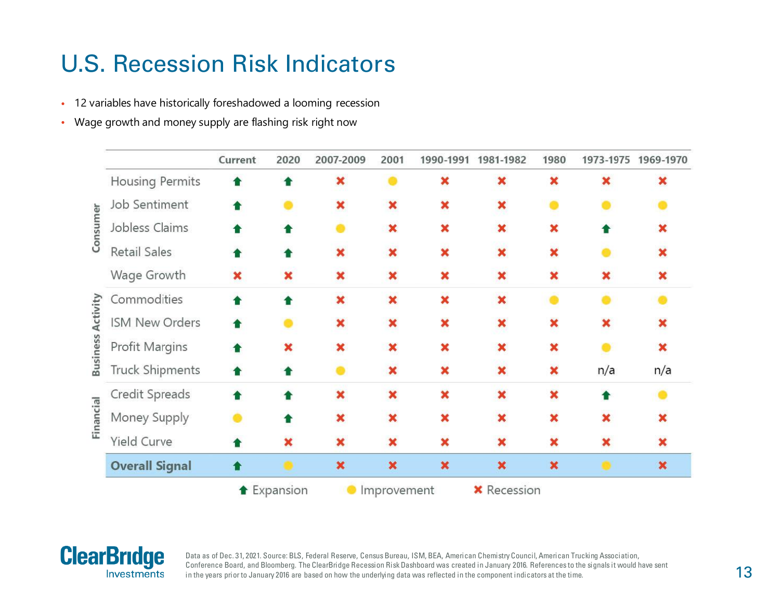## U.S. Recession Risk Indicators

- 12 variables have historically foreshadowed a looming recession
- Wage growth and money supply are flashing risk right now





Data as of Dec. 31, 2021. Source: BLS, Federal Reserve, Census Bureau, ISM, BEA, American Chemistry Council, American Trucking Association, Conference Board, and Bloomberg. The ClearBridge Recession Risk Dashboard was created in January 2016. References to the signals it would have sent in the years prior to January 2016 are based on how the underlying data was reflected in the component indicators at the time.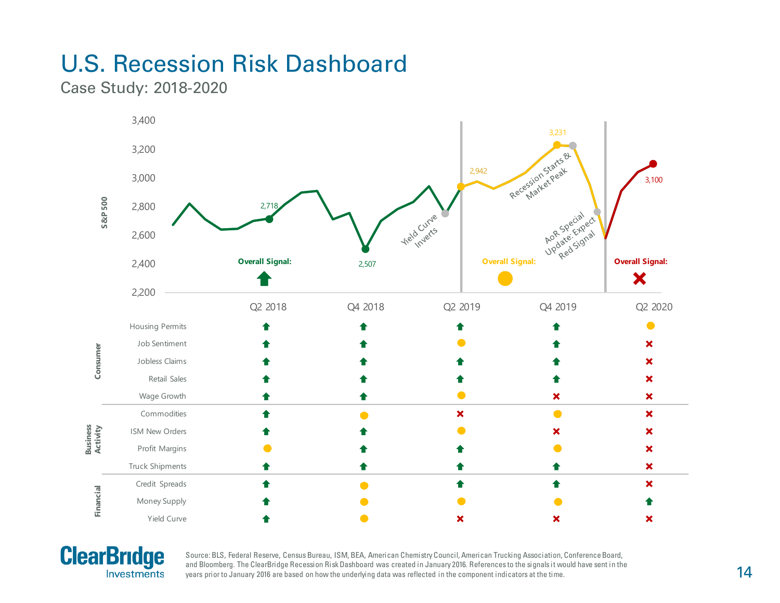# U.S. Recession Risk Dashboard

Case Study: 2018-2020





Source: BLS, Federal Reserve, Census Bureau, ISM, BEA, American Chemistry Council, American Trucking Association, Conference Board, and Bloomberg. The ClearBridge Recession Risk Dashboard was created in January 2016. References to the signals it would have sent in the years prior to January 2016 are based on how the underlying data was reflected in the component indicators at the time.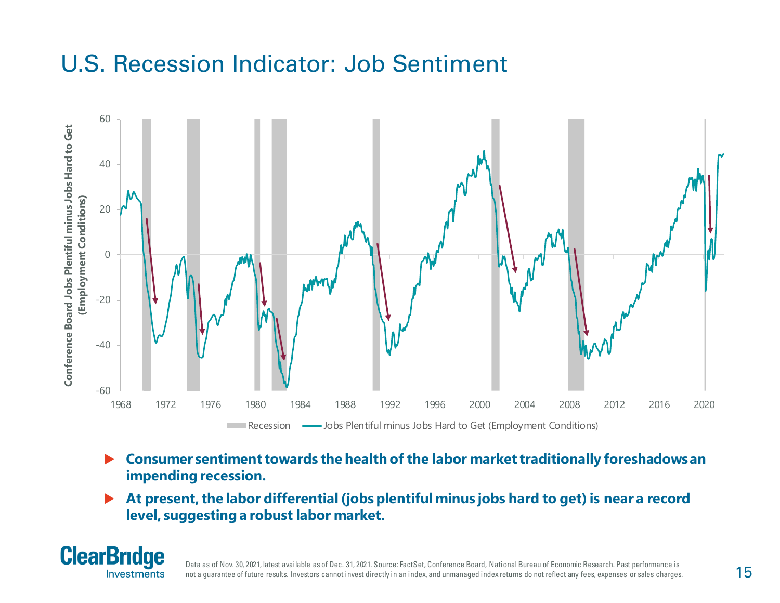### U.S. Recession Indicator: Job Sentiment



- **Consumer sentiment towards the health of the labor market traditionally foreshadows an impending recession.**
- **At present, the labor differential (jobs plentiful minus jobs hard to get) is near a record level, suggesting a robust labor market.**



Data as of Nov. 30, 2021, latest available as of Dec. 31, 2021. Source: FactSet, Conference Board, National Bureau of Economic Research. Past performance is not a guarantee of future results. Investors cannot invest directly in an index, and unmanaged index returns do not reflect any fees, expenses or sales charges.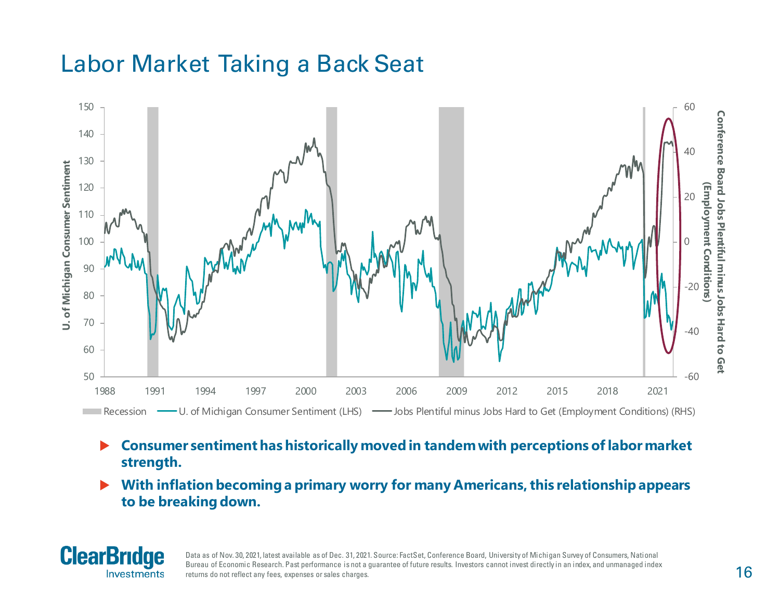## Labor Market Taking a Back Seat



- **Consumer sentiment has historically moved in tandem with perceptions of labor market strength.**
- **With inflation becoming a primary worry for many Americans, this relationship appears to be breaking down.**



Data as of Nov. 30, 2021, latest available as of Dec. 31, 2021. Source: FactSet, Conference Board, University of Michigan Survey of Consumers, National Bureau of Economic Research. Past performance is not a guarantee of future results. Investors cannot invest directly in an index, and unmanaged index returns do not reflect any fees, expenses or sales charges.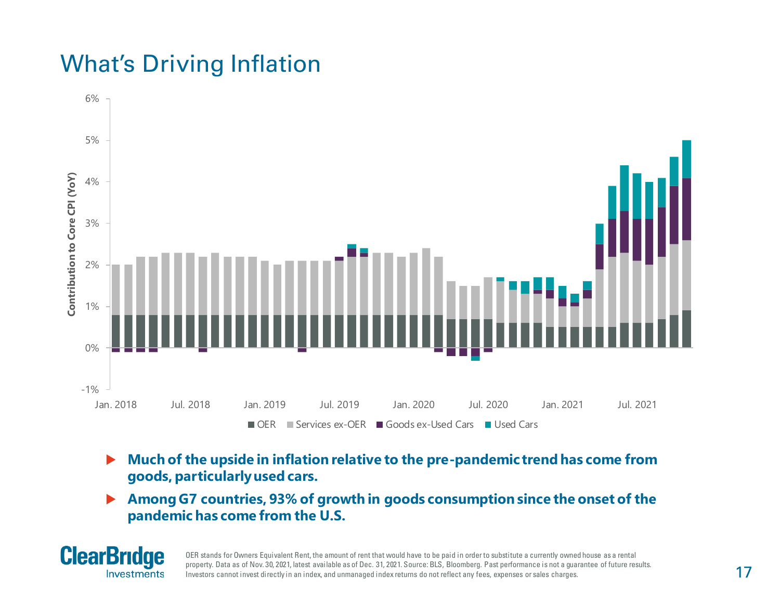## What's Driving Inflation



- **Much of the upside in inflation relative to the pre-pandemic trend has come from goods, particularly used cars.**
- **Among G7 countries, 93% of growth in goods consumption since the onset of the pandemic has come from the U.S.**



OER stands for Owners Equivalent Rent, the amount of rent that would have to be paid in order to substitute a currently owned house as a rental property. Data as of Nov. 30, 2021, latest available as of Dec. 31, 2021. Source: BLS, Bloomberg. Past performance is not a guarantee of future results. Investors cannot invest directly in an index, and unmanaged index returns do not reflect any fees, expenses or sales charges.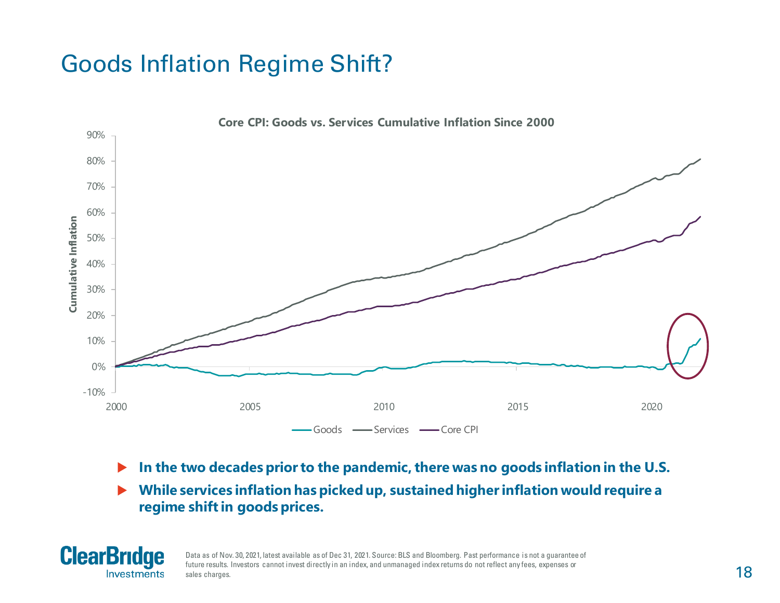## Goods Inflation Regime Shift?



- **In the two decades prior to the pandemic, there was no goods inflation in the U.S.**
- **While services inflation has picked up, sustained higher inflation would require a regime shift in goods prices.**



Data as of Nov. 30, 2021, latest available as of Dec 31, 2021. Source: BLS and Bloomberg. Past performance is not a guarantee of future results. Investors cannot invest directly in an index, and unmanaged index returns do not reflect any fees, expenses or sales charges.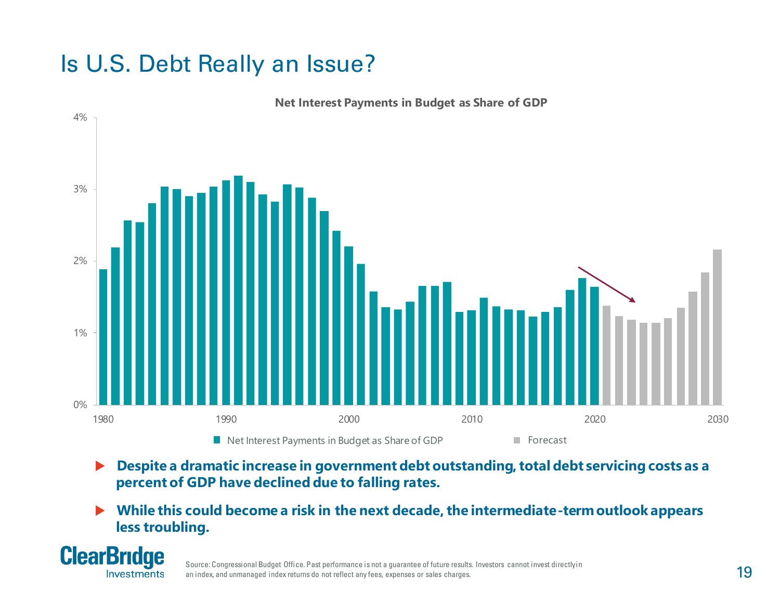## Is U.S. Debt Really an Issue?



**Net Interest Payments in Budget as Share of GDP**

- **▶** Despite a dramatic increase in government debt outstanding, total debt servicing costs as a **percent of GDP have declined due to falling rates.**
- **While this could become a risk in the next decade, the intermediate-term outlook appears less troubling.**



Source: Congressional Budget Office. Past performance is not a guarantee of future results. Investors cannot invest directly in an index, and unmanaged index returns do not reflect any fees, expenses or sales charges.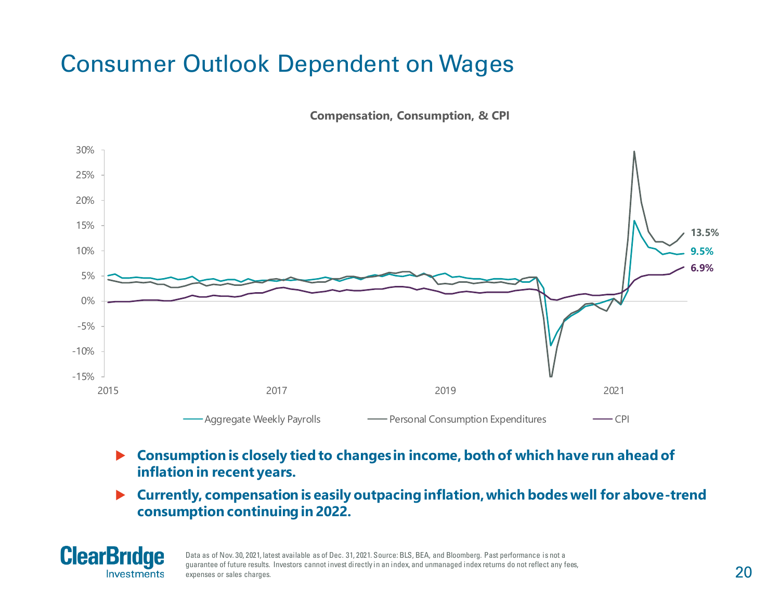## Consumer Outlook Dependent on Wages

**Compensation, Consumption, & CPI**



- **Consumption is closely tied to changes in income, both of which have run ahead of inflation in recent years.**
- **Currently, compensation is easily outpacing inflation, which bodes well for above-trend consumption continuing in 2022.**



Data as of Nov. 30, 2021, latest available as of Dec. 31, 2021. Source: BLS, BEA, and Bloomberg. Past performance is not a guarantee of future results. Investors cannot invest directly in an index, and unmanaged index returns do not reflect any fees, expenses or sales charges.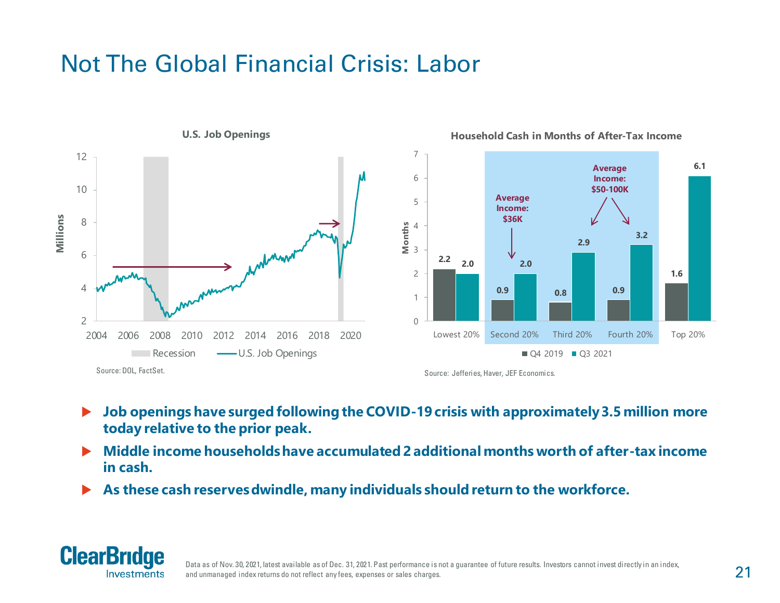## Not The Global Financial Crisis: Labor



- **Job openings have surged following the COVID-19 crisis with approximately 3.5 million more**
- **today relative to the prior peak.**
- **Middle income households have accumulated 2 additional months worth of after-tax income in cash.**
- **As these cash reserves dwindle, many individuals should return to the workforce.**

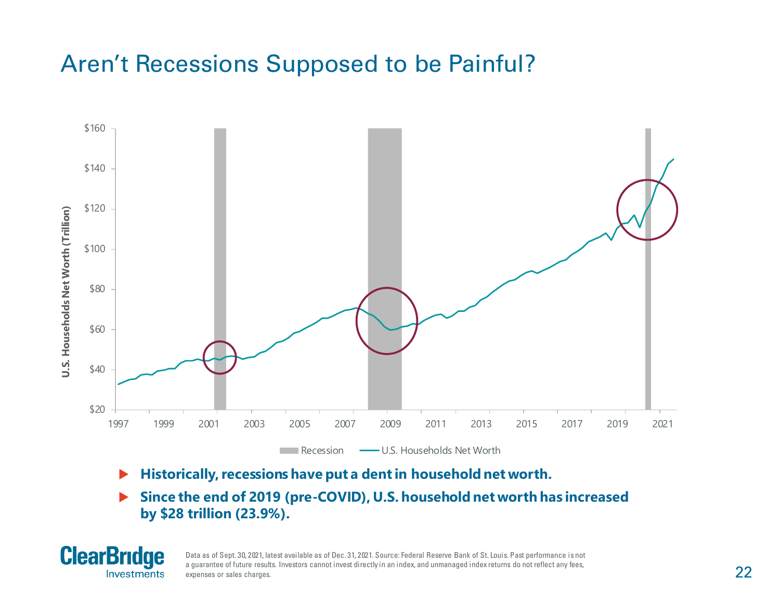### Aren't Recessions Supposed to be Painful?



- **Historically, recessions have put a dent in household net worth.**
- **Since the end of 2019 (pre-COVID), U.S. household net worth has increased by \$28 trillion (23.9%).**



Data as of Sept. 30, 2021, latest available as of Dec. 31, 2021. Source: Federal Reserve Bank of St. Louis. Past performance is not a guarantee of future results. Investors cannot invest directly in an index, and unmanaged index returns do not reflect any fees, expenses or sales charges.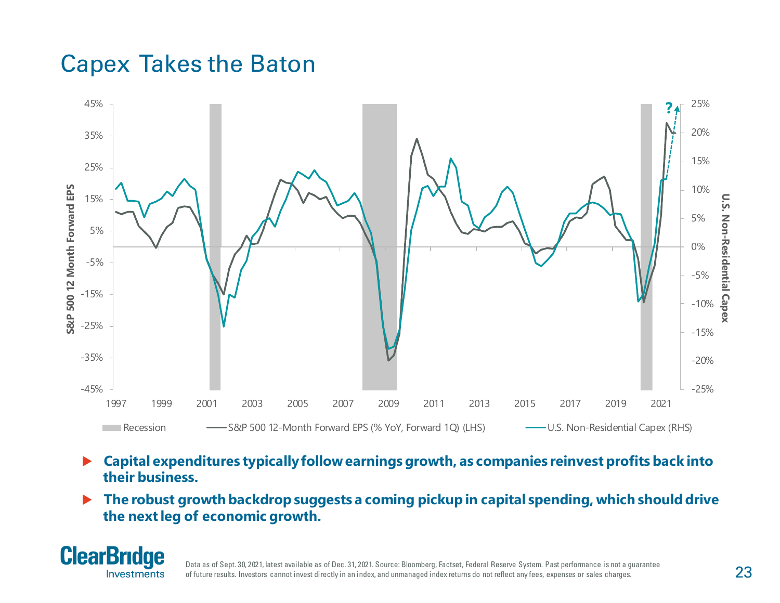#### Capex Takes the Baton



- **Capital expenditures typically follow earnings growth, as companies reinvest profits back into their business.**
- **The robust growth backdrop suggests a coming pickup in capital spending, which should drive the next leg of economic growth.**



Data as of Sept. 30, 2021, latest available as of Dec. 31, 2021. Source: Bloomberg, Factset, Federal Reserve System. Past performance is not a guarantee of future results. Investors cannot invest directly in an index, and unmanaged index returns do not reflect any fees, expenses or sales charges.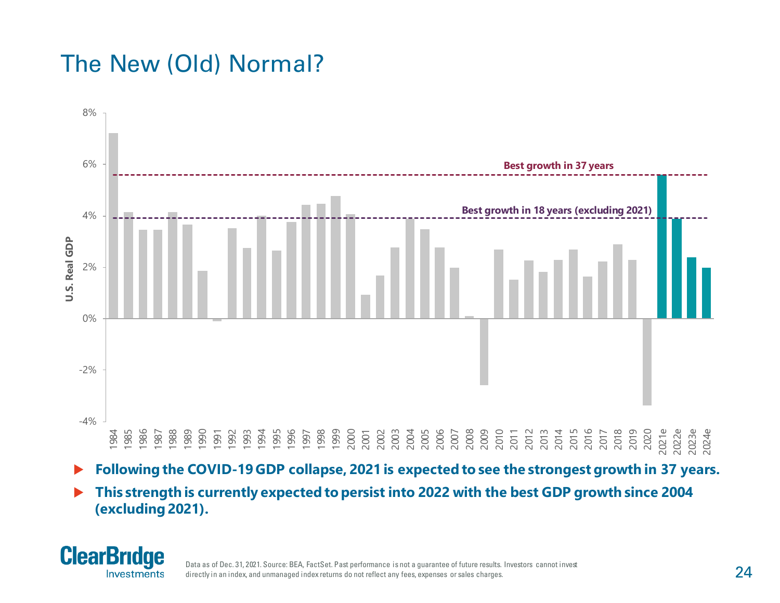## The New (Old) Normal?



- **Following the COVID-19 GDP collapse, 2021 is expected to see the strongest growth in 37 years.**
- **This strength is currently expected to persist into 2022 with the best GDP growth since 2004 (excluding 2021).**



Data as of Dec. 31, 2021. Source: BEA, FactSet. Past performance is not a guarantee of future results. Investors cannot invest directly in an index, and unmanaged index returns do not reflect any fees, expenses or sales charges.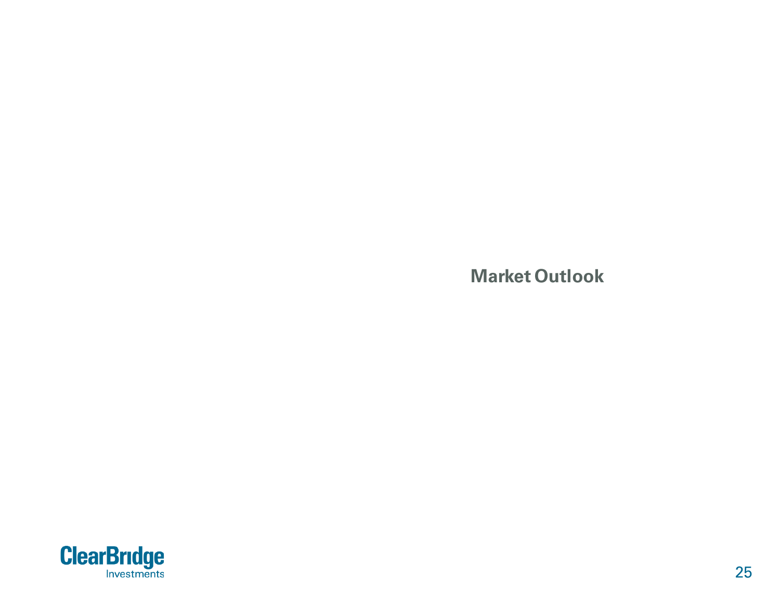**Market Outlook**

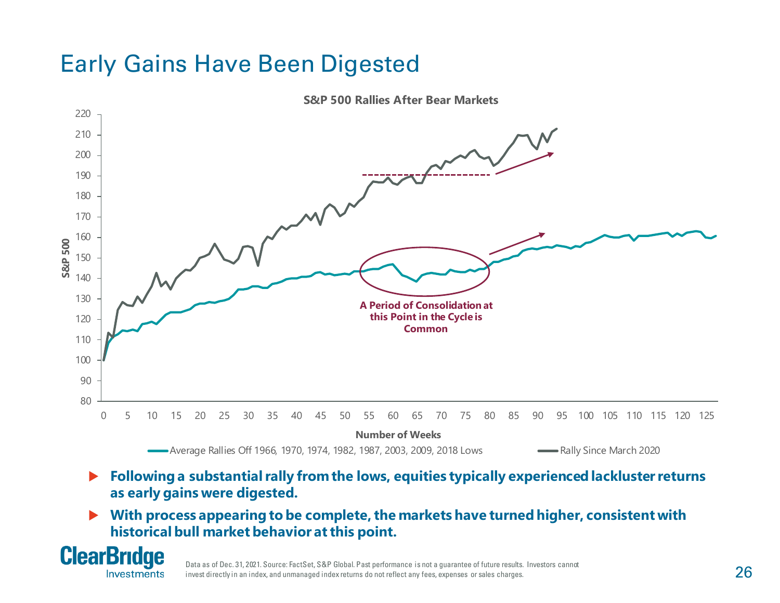## Early Gains Have Been Digested



**S&P 500 Rallies After Bear Markets**

- ▶ Following a substantial rally from the lows, equities typically experienced lackluster returns **as early gains were digested.**
- **With process appearing to be complete, the markets have turned higher, consistent with historical bull market behavior at this point.**



Data as of Dec. 31, 2021. Source: FactSet, S&P Global. Past performance is not a guarantee of future results. Investors cannot invest directly in an index, and unmanaged index returns do not reflect any fees, expenses or sales charges.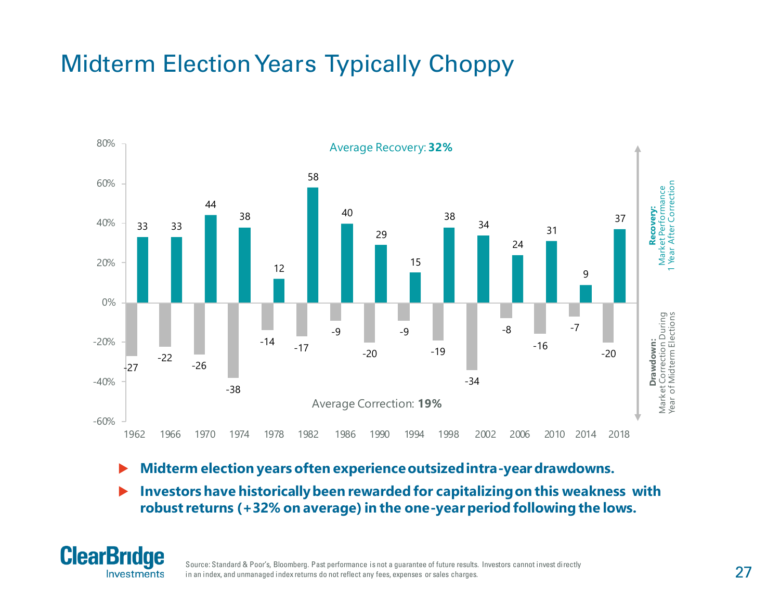## Midterm Election Years Typically Choppy



- **Midterm election years often experience outsized intra-year drawdowns.**
- **Investors have historically been rewarded for capitalizing on this weakness with robust returns (+32% on average) in the one-year period following the lows.**



Source: Standard & Poor's, Bloomberg. Past performance is not a guarantee of future results. Investors cannot invest directly in an index, and unmanaged index returns do not reflect any fees, expenses or sales charges.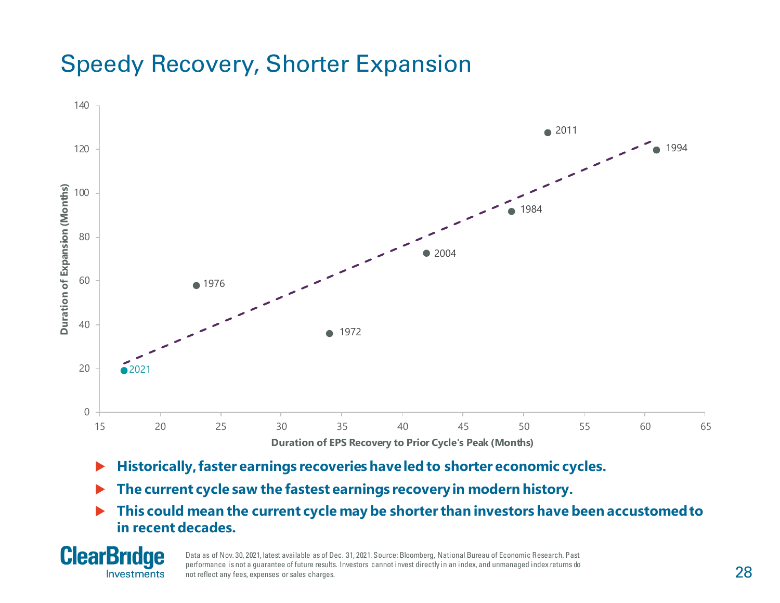## Speedy Recovery, Shorter Expansion



- **Historically, faster earnings recoveries have led to shorter economic cycles.**
- **The current cycle saw the fastest earnings recovery in modern history.**
- **This could mean the current cycle may be shorter than investors have been accustomed to in recent decades.**



Data as of Nov. 30, 2021, latest available as of Dec. 31, 2021. Source: Bloomberg, National Bureau of Economic Research. Past performance is not a guarantee of future results. Investors cannot invest directly in an index, and unmanaged index returns do not reflect any fees, expenses or sales charges.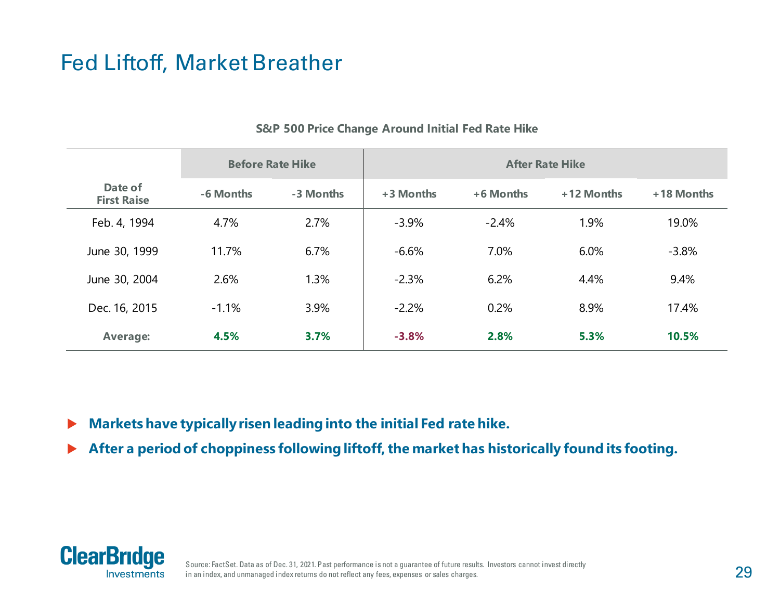#### Fed Liftoff, Market Breather

|                               | <b>Before Rate Hike</b> |           | <b>After Rate Hike</b> |           |            |            |  |  |
|-------------------------------|-------------------------|-----------|------------------------|-----------|------------|------------|--|--|
| Date of<br><b>First Raise</b> | -6 Months               | -3 Months | +3 Months              | +6 Months | +12 Months | +18 Months |  |  |
| Feb. 4, 1994                  | 4.7%                    | 2.7%      | $-3.9%$                | $-2.4%$   | 1.9%       | 19.0%      |  |  |
| June 30, 1999                 | 11.7%                   | 6.7%      | $-6.6%$                | 7.0%      | 6.0%       | $-3.8%$    |  |  |
| June 30, 2004                 | 2.6%                    | 1.3%      | $-2.3%$                | 6.2%      | 4.4%       | 9.4%       |  |  |
| Dec. 16, 2015                 | $-1.1%$                 | 3.9%      | $-2.2%$                | 0.2%      | 8.9%       | 17.4%      |  |  |
| <b>Average:</b>               | 4.5%                    | 3.7%      | $-3.8%$                | 2.8%      | 5.3%       | 10.5%      |  |  |

#### **S&P 500 Price Change Around Initial Fed Rate Hike**

- **Markets have typically risen leading into the initial Fed rate hike.**
- **After a period of choppiness following liftoff, the market has historically found its footing.**



Source: FactSet. Data as of Dec. 31, 2021. Past performance is not a guarantee of future results. Investors cannot invest directly in an index, and unmanaged index returns do not reflect any fees, expenses or sales charges.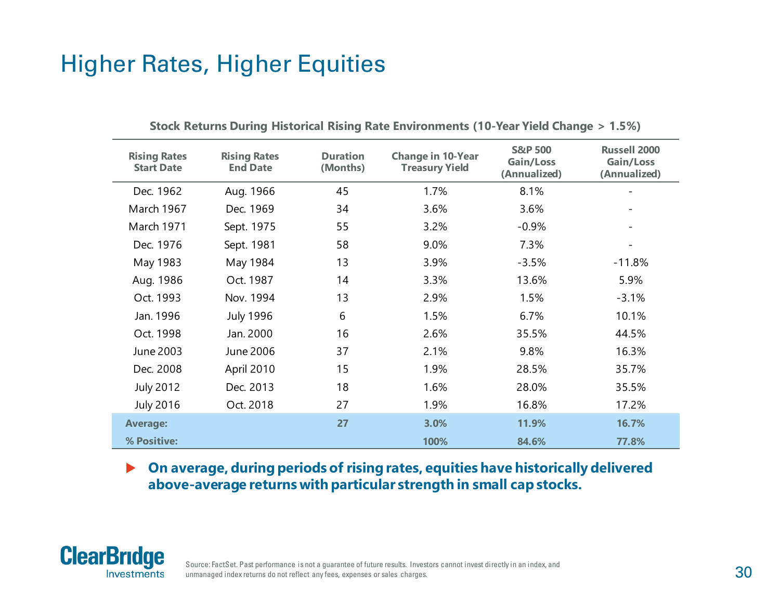### Higher Rates, Higher Equities

| <b>Rising Rates</b><br><b>Start Date</b> | <b>Rising Rates</b><br><b>End Date</b> | <b>Duration</b><br>(Months) | <b>Change in 10-Year</b><br><b>Treasury Yield</b> | <b>S&amp;P 500</b><br>Gain/Loss<br>(Annualized) | <b>Russell 2000</b><br>Gain/Loss<br>(Annualized) |
|------------------------------------------|----------------------------------------|-----------------------------|---------------------------------------------------|-------------------------------------------------|--------------------------------------------------|
| Dec. 1962                                | Aug. 1966                              | 45                          | 1.7%                                              | 8.1%                                            |                                                  |
| March 1967                               | Dec. 1969                              | 34                          | 3.6%                                              | 3.6%                                            |                                                  |
| March 1971                               | Sept. 1975                             | 55                          | 3.2%                                              | $-0.9%$                                         |                                                  |
| Dec. 1976                                | Sept. 1981                             | 58                          | 9.0%                                              | 7.3%                                            |                                                  |
| May 1983                                 | May 1984                               | 13                          | 3.9%                                              | $-3.5%$                                         | $-11.8%$                                         |
| Aug. 1986                                | Oct. 1987                              | 14                          | 3.3%                                              | 13.6%                                           | 5.9%                                             |
| Oct. 1993                                | Nov. 1994                              | 13                          | 2.9%                                              | 1.5%                                            | $-3.1%$                                          |
| Jan. 1996                                | <b>July 1996</b>                       | 6                           | 1.5%                                              | 6.7%                                            | 10.1%                                            |
| Oct. 1998                                | Jan. 2000                              | 16                          | 2.6%                                              | 35.5%                                           | 44.5%                                            |
| June 2003                                | June 2006                              | 37                          | 2.1%                                              | 9.8%                                            | 16.3%                                            |
| Dec. 2008                                | April 2010                             | 15                          | 1.9%                                              | 28.5%                                           | 35.7%                                            |
| <b>July 2012</b>                         | Dec. 2013                              | 18                          | 1.6%                                              | 28.0%                                           | 35.5%                                            |
| <b>July 2016</b>                         | Oct. 2018                              | 27                          | 1.9%                                              | 16.8%                                           | 17.2%                                            |
| <b>Average:</b>                          |                                        | 27                          | 3.0%                                              | 11.9%                                           | 16.7%                                            |
| % Positive:                              |                                        |                             | 100%                                              | 84.6%                                           | 77.8%                                            |

#### **Stock Returns During Historical Rising Rate Environments (10-Year Yield Change > 1.5%)**

#### **On average, during periods of rising rates, equities have historically delivered above-average returns with particular strength in small cap stocks.**

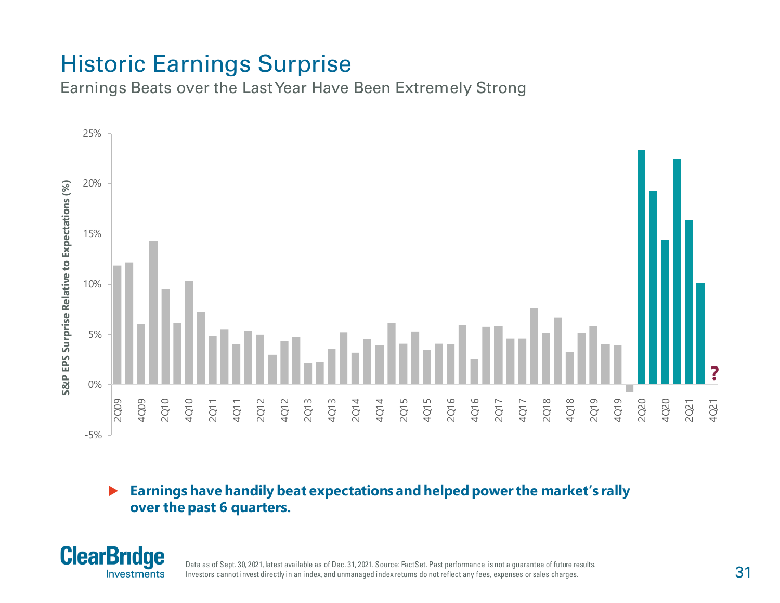## Historic Earnings Surprise

Earnings Beats over the Last Year Have Been Extremely Strong



#### **Earnings have handily beat expectations and helped power the market's rally over the past 6 quarters.**



Data as of Sept. 30, 2021, latest available as of Dec. 31, 2021. Source: FactSet. Past performance is not a guarantee of future results. Investors cannot invest directly in an index, and unmanaged index returns do not reflect any fees, expenses or sales charges.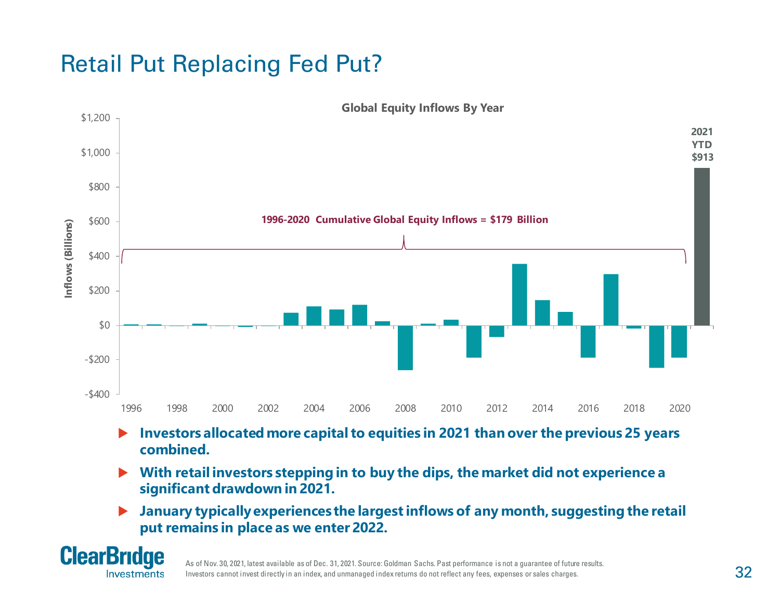## Retail Put Replacing Fed Put?



- **Investors allocated more capital to equities in 2021 than over the previous 25 years combined.**
- **With retail investors stepping in to buy the dips, the market did not experience a significant drawdown in 2021.**
- **January typically experiences the largest inflows of any month, suggesting the retail put remains in place as we enter 2022.**



As of Nov. 30, 2021, latest available as of Dec. 31, 2021. Source: Goldman Sachs. Past performance is not a guarantee of future results. Investors cannot invest directly in an index, and unmanaged index returns do not reflect any fees, expenses or sales charges.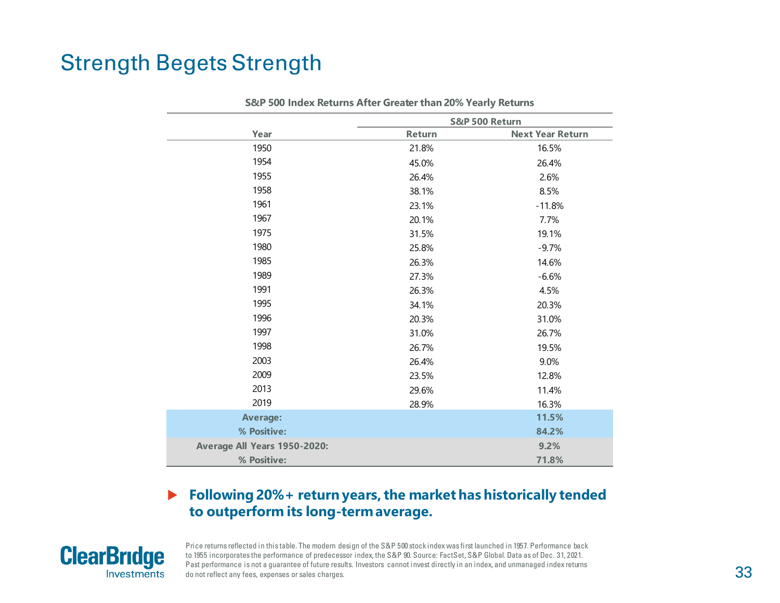#### Strength Begets Strength

| S&P 500 Index Returns After Greater than 20% Yearly Returns |                |                         |  |  |  |  |
|-------------------------------------------------------------|----------------|-------------------------|--|--|--|--|
|                                                             | S&P 500 Return |                         |  |  |  |  |
| Year                                                        | Return         | <b>Next Year Return</b> |  |  |  |  |
| 1950                                                        | 21.8%          | 16.5%                   |  |  |  |  |
| 1954                                                        | 45.0%          | 26.4%                   |  |  |  |  |
| 1955                                                        | 26.4%          | 2.6%                    |  |  |  |  |
| 1958                                                        | 38.1%          | 8.5%                    |  |  |  |  |
| 1961                                                        | 23.1%          | $-11.8%$                |  |  |  |  |
| 1967                                                        | 20.1%          | 7.7%                    |  |  |  |  |
| 1975                                                        | 31.5%          | 19.1%                   |  |  |  |  |
| 1980                                                        | 25.8%          | $-9.7%$                 |  |  |  |  |
| 1985                                                        | 26.3%          | 14.6%                   |  |  |  |  |
| 1989                                                        | 27.3%          | $-6.6%$                 |  |  |  |  |
| 1991                                                        | 26.3%          | 4.5%                    |  |  |  |  |
| 1995                                                        | 34.1%          | 20.3%                   |  |  |  |  |
| 1996                                                        | 20.3%          | 31.0%                   |  |  |  |  |
| 1997                                                        | 31.0%          | 26.7%                   |  |  |  |  |
| 1998                                                        | 26.7%          | 19.5%                   |  |  |  |  |
| 2003                                                        | 26.4%          | 9.0%                    |  |  |  |  |
| 2009                                                        | 23.5%          | 12.8%                   |  |  |  |  |
| 2013                                                        | 29.6%          | 11.4%                   |  |  |  |  |
| 2019                                                        | 28.9%          | 16.3%                   |  |  |  |  |
| <b>Average:</b>                                             |                | 11.5%                   |  |  |  |  |
| % Positive:                                                 |                | 84.2%                   |  |  |  |  |
| Average All Years 1950-2020:                                |                | 9.2%                    |  |  |  |  |
| % Positive:                                                 |                | 71.8%                   |  |  |  |  |

#### **Following 20%+ return years, the market has historically tended to outperform its long-term average.**



Price returns reflected in this table. The modern design of the S&P 500 stock index was first launched in 1957. Performance back to 1955 incorporates the performance of predecessor index, the S&P 90. Source: FactSet, S&P Global. Data as of Dec. 31, 2021. Past performance is not a guarantee of future results. Investors cannot invest directly in an index, and unmanaged index returns do not reflect any fees, expenses or sales charges.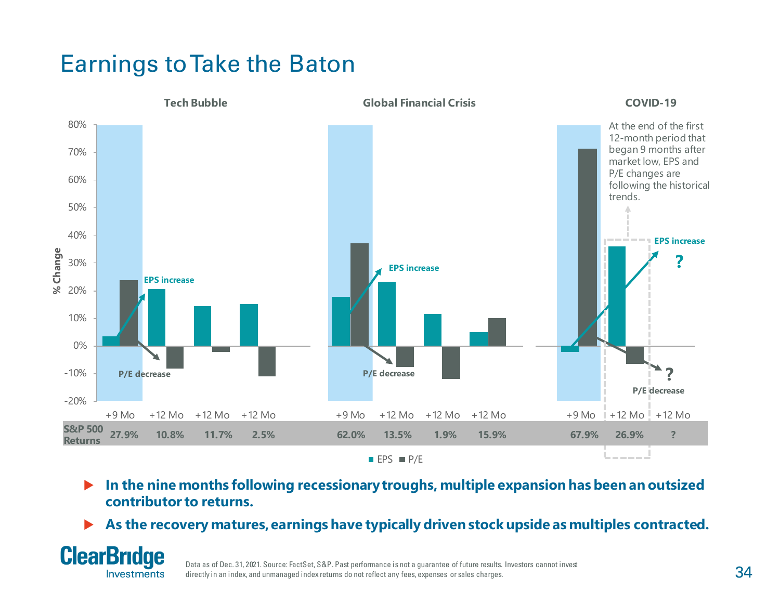## Earnings to Take the Baton



- **In the nine months following recessionary troughs, multiple expansion has been an outsized contributor to returns.**
- **As the recovery matures, earnings have typically driven stock upside as multiples contracted.**



Data as of Dec. 31, 2021. Source: FactSet, S&P. Past performance is not a guarantee of future results. Investors cannot invest directly in an index, and unmanaged index returns do not reflect any fees, expenses or sales charges.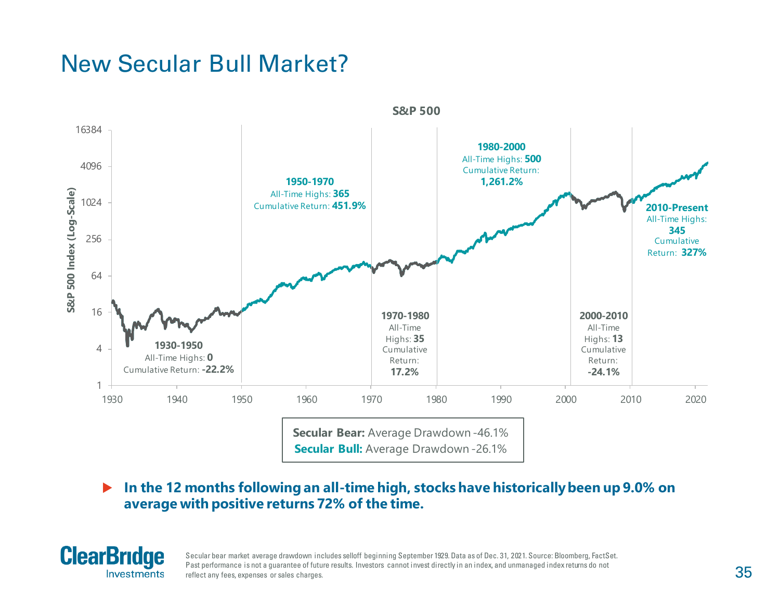### New Secular Bull Market?



 **In the 12 months following an all-time high, stocks have historically been up 9.0% on average with positive returns 72% of the time.** 



Secular bear market average drawdown includes selloff beginning September 1929. Data as of Dec. 31, 2021. Source: Bloomberg, FactSet. Past performance is not a quarantee of future results. Investors cannot invest directly in an index, and unmanaged index returns do not reflect any fees, expenses or sales charges.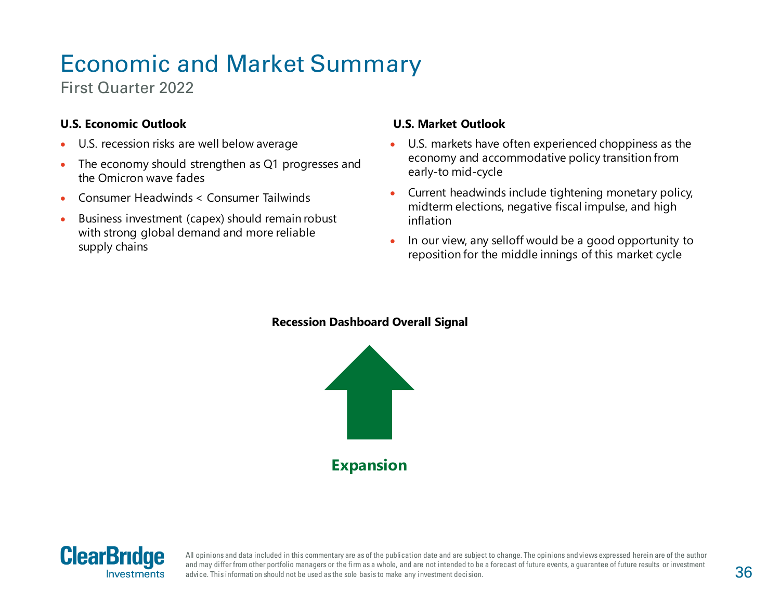# Economic and Market Summary

First Quarter 2022

#### **U.S. Economic Outlook**

- U.S. recession risks are well below average
- The economy should strengthen as Q1 progresses and the Omicron wave fades
- Consumer Headwinds < Consumer Tailwinds
- Business investment (capex) should remain robust with strong global demand and more reliable supply chains

#### **U.S. Market Outlook**

- U.S. markets have often experienced choppiness as the economy and accommodative policy transition from early-to mid-cycle
- Current headwinds include tightening monetary policy, midterm elections, negative fiscal impulse, and high inflation
- In our view, any selloff would be a good opportunity to reposition for the middle innings of this market cycle

#### **Recession Dashboard Overall Signal**





All opinions and data included in this commentary are as of the publication date and are subject to change. The opinions and views expressed herein are of the author and may differ from other portfolio managers or the firm as a whole, and are not intended to be a forecast of future events, a guarantee of future results or investment advice. This information should not be used as the sole basis to make any investment decision.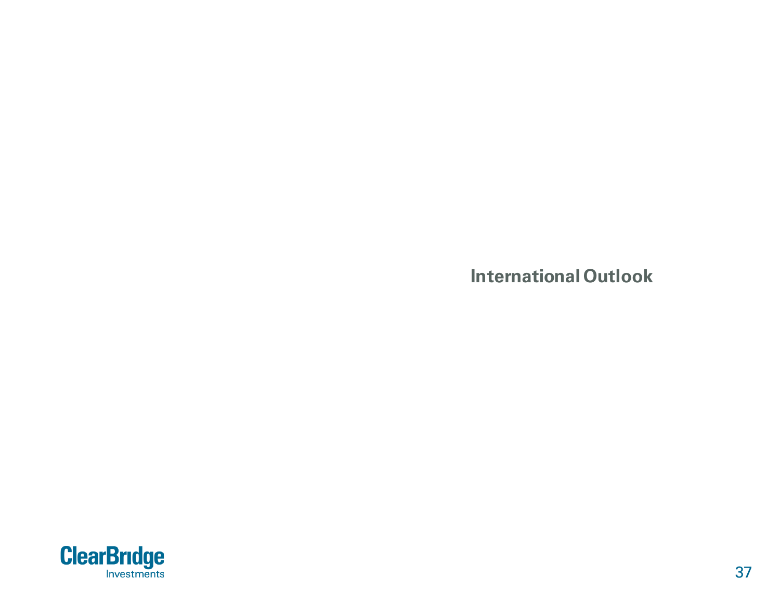**International Outlook**

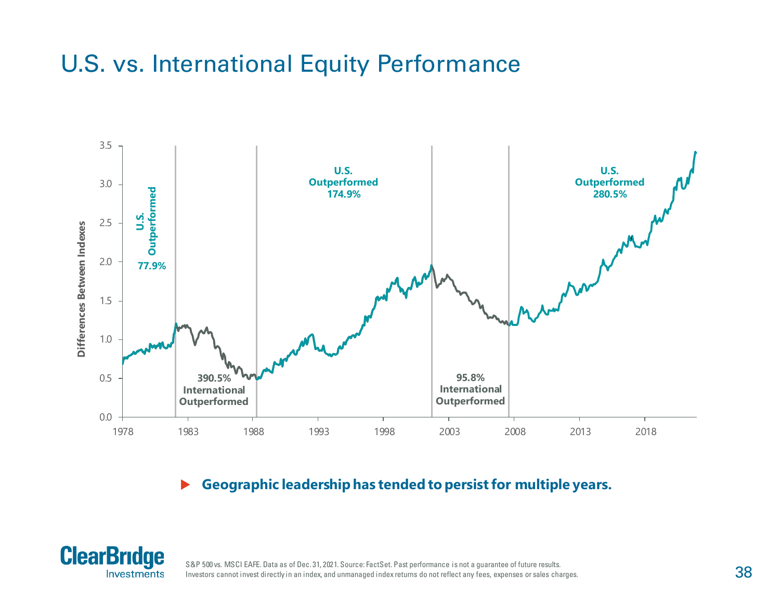### U.S. vs. International Equity Performance



**Geographic leadership has tended to persist for multiple years.**



S&P 500 vs. MSCI EAFE. Data as of Dec. 31, 2021. Source: FactSet. Past performance is not a guarantee of future results. Investors cannot invest directly in an index, and unmanaged index returns do not reflect any fees, expenses or sales charges.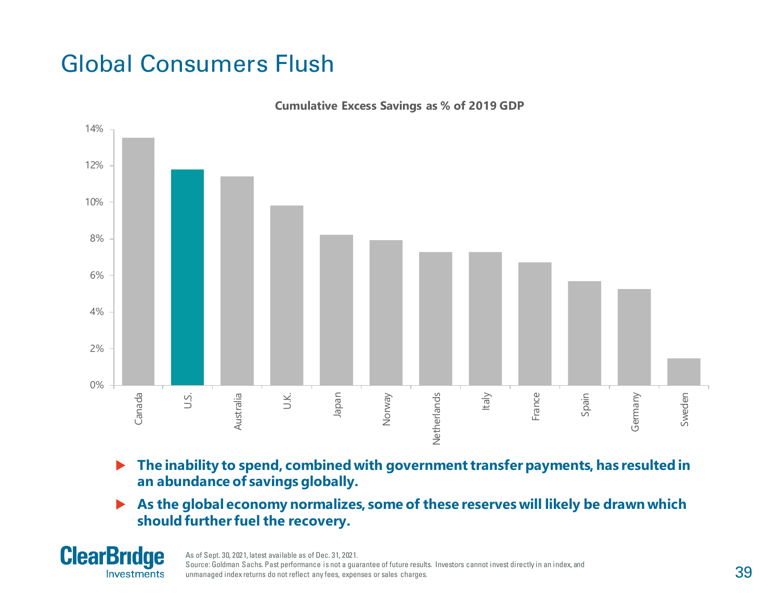## Global Consumers Flush



**Cumulative Excess Savings as % of 2019 GDP**

- ▶ The inability to spend, combined with government transfer payments, has resulted in **an abundance of savings globally.**
- **As the global economy normalizes, some of these reserves will likely be drawn which should further fuel the recovery.**

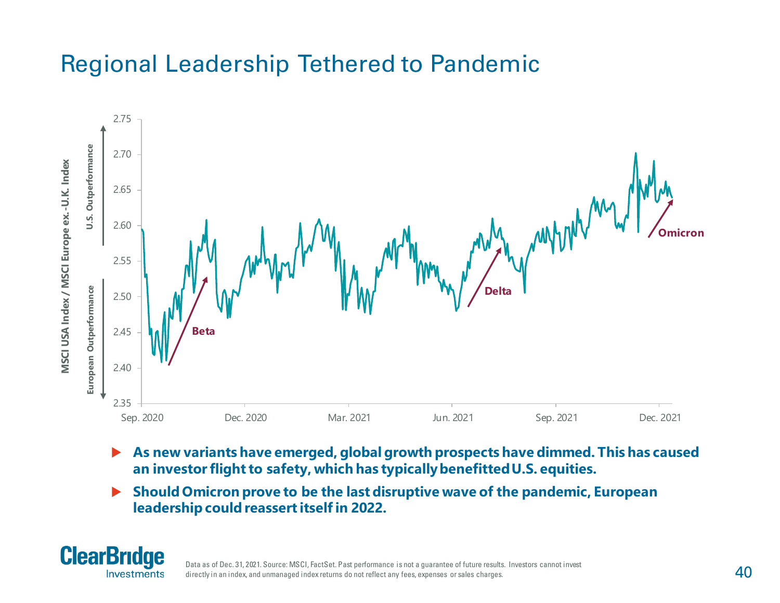## Regional Leadership Tethered to Pandemic



- **As new variants have emerged, global growth prospects have dimmed. This has caused an investor flight to safety, which has typically benefitted U.S. equities.**
- **Should Omicron prove to be the last disruptive wave of the pandemic, European leadership could reassert itself in 2022.**



Data as of Dec. 31, 2021. Source: MSCI, FactSet. Past performance is not a guarantee of future results. Investors cannot invest directly in an index, and unmanaged index returns do not reflect any fees, expenses or sales charges.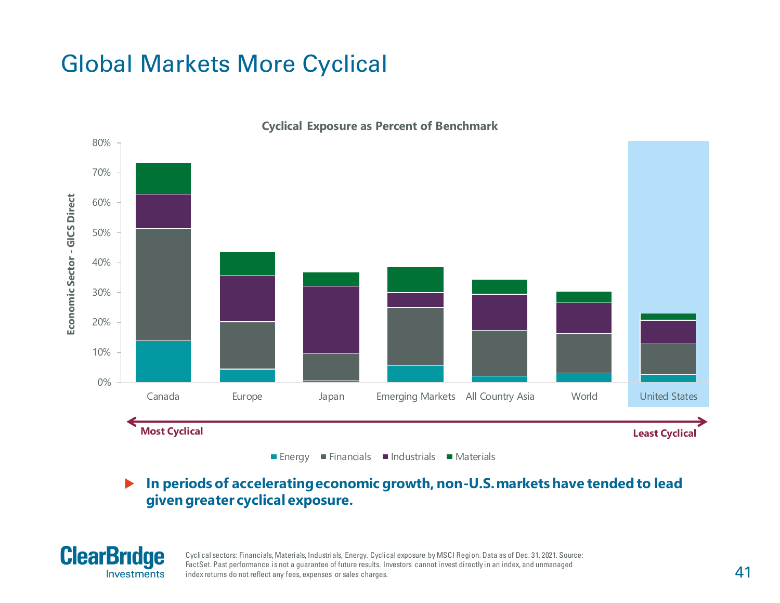## Global Markets More Cyclical



**Cyclical Exposure as Percent of Benchmark**

 **In periods of accelerating economic growth, non-U.S. markets have tended to lead given greater cyclical exposure.**



Cyclical sectors: Financials, Materials, Industrials, Energy. Cyclical exposure by MSCI Region. Data as of Dec. 31, 2021. Source: FactSet. Past performance is not a guarantee of future results. Investors cannot invest directly in an index, and unmanaged index returns do not reflect any fees, expenses or sales charges.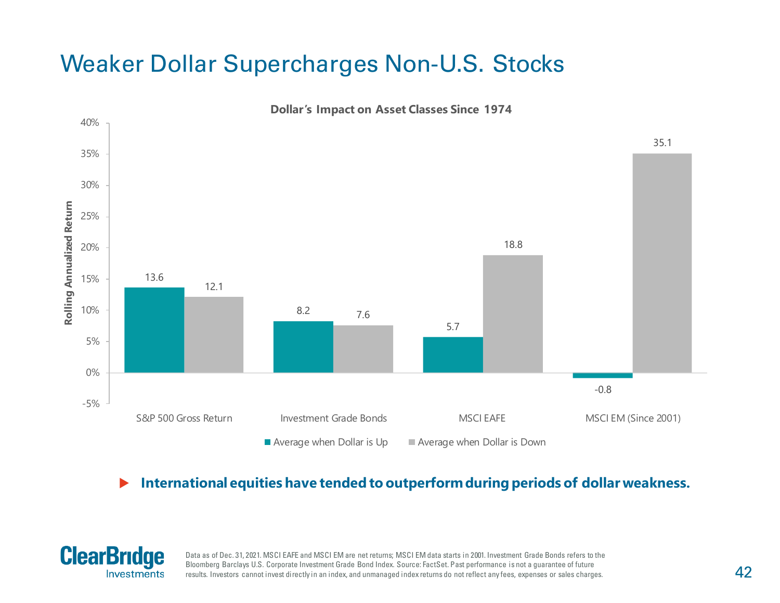### Weaker Dollar Supercharges Non-U.S. Stocks



#### **International equities have tended to outperform during periods of dollar weakness.**



Data as of Dec. 31, 2021. MSCI EAFE and MSCI EM are net returns; MSCI EM data starts in 2001. Investment Grade Bonds refers to the Bloomberg Barclays U.S. Corporate Investment Grade Bond Index. Source: FactSet. Past performance is not a guarantee of future results. Investors cannot invest directly in an index, and unmanaged index returns do not reflect any fees, expenses or sales charges.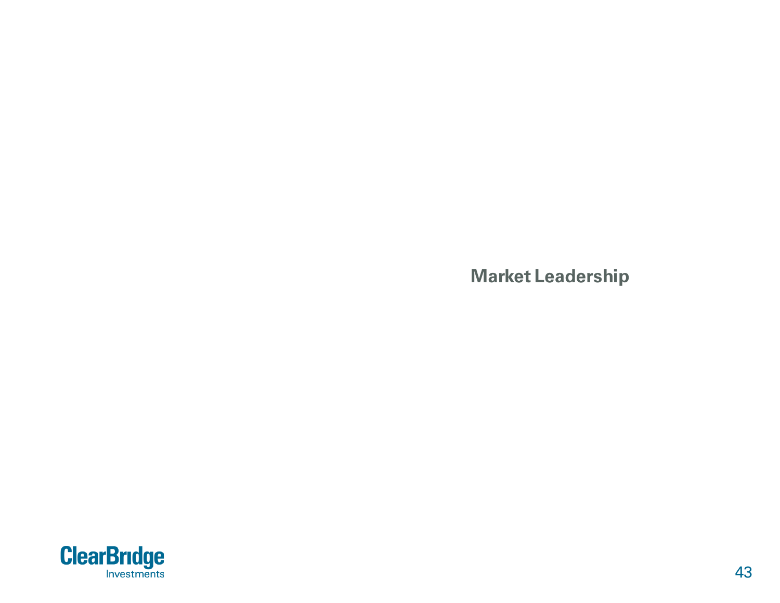**Market Leadership**

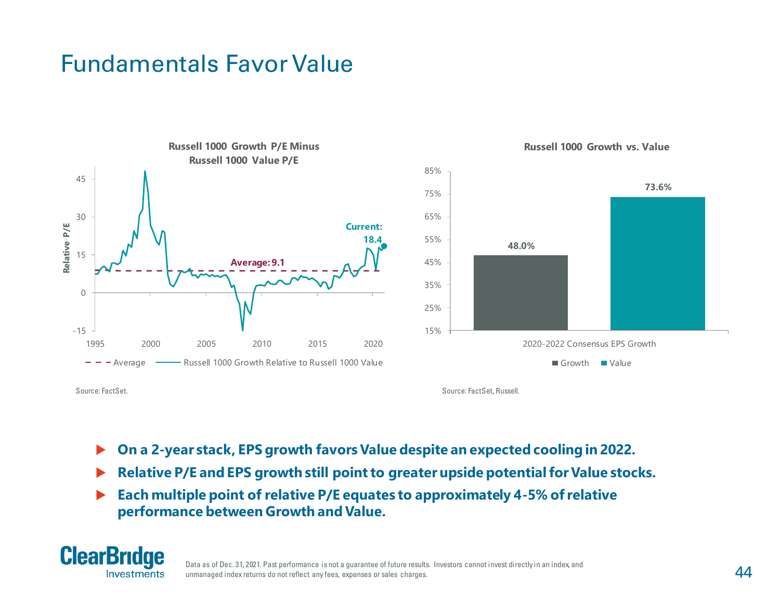#### Fundamentals Favor Value





**Russell 1000 Growth vs. Value**

Source: FactSet.

Source: FactSet, Russell.

- **On a 2-year stack, EPS growth favors Value despite an expected cooling in 2022.**
- **Relative P/E and EPS growth still point to greater upside potential for Value stocks.**
- **Each multiple point of relative P/E equates to approximately 4-5% of relative performance between Growth and Value.**



Data as of Dec. 31, 2021. Past performance is not a guarantee of future results. Investors cannot invest directly in an index, and unmanaged index returns do not reflect any fees, expenses or sales charges.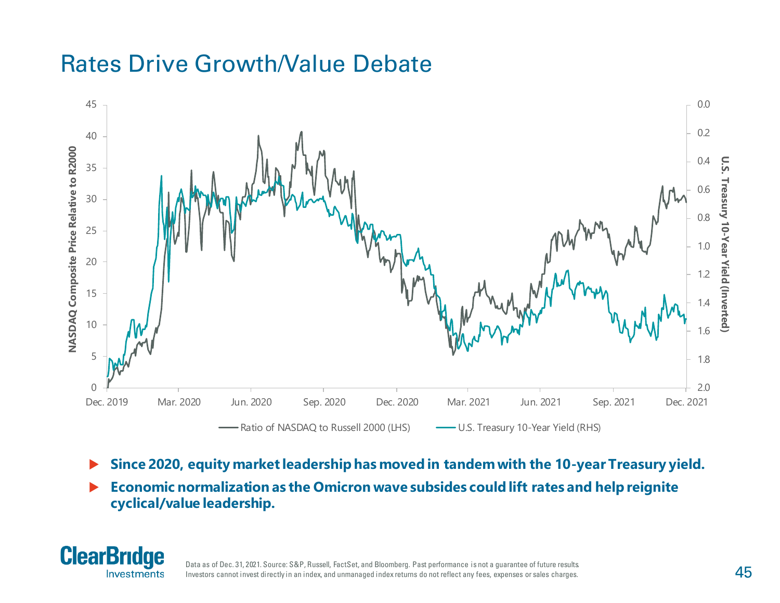#### Rates Drive Growth/Value Debate



- **Since 2020, equity market leadership has moved in tandem with the 10-year Treasury yield.**
- **Economic normalization as the Omicron wave subsides could lift rates and help reignite cyclical/value leadership.**

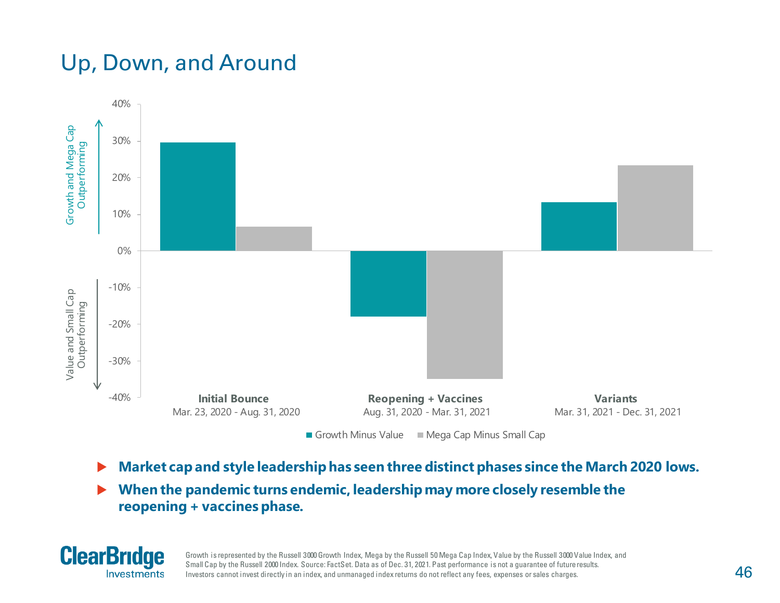### Up, Down, and Around



- **Market cap and style leadership has seen three distinct phases since the March 2020 lows.**
- **When the pandemic turns endemic, leadership may more closely resemble the reopening + vaccines phase.**



Growth is represented by the Russell 3000 Growth Index, Mega by the Russell 50 Mega Cap Index, Value by the Russell 3000 Value Index, and Small Cap by the Russell 2000 Index. Source: FactSet. Data as of Dec. 31, 2021. Past performance is not a guarantee of futureresults. Investors cannot invest directly in an index, and unmanaged index returns do not reflect any fees, expenses or sales charges.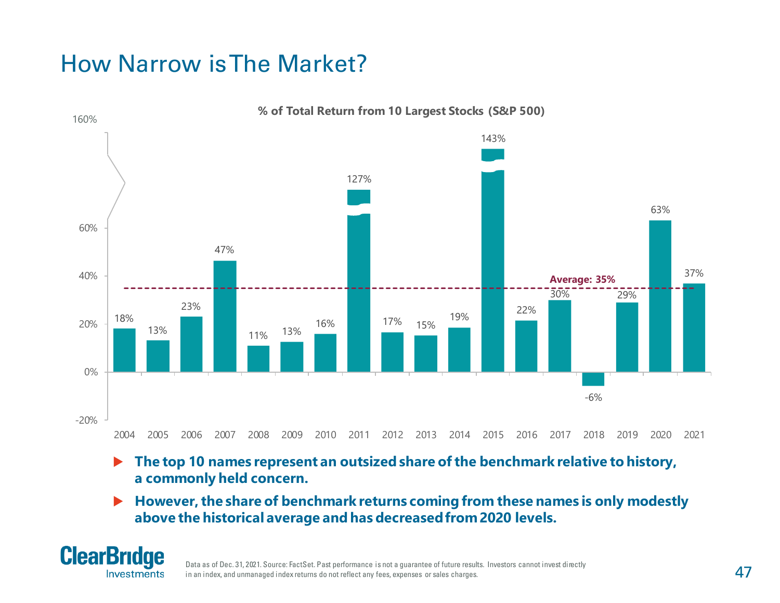## How Narrow is The Market?



**% of Total Return from 10 Largest Stocks (S&P 500)**

- ▶ The top 10 names represent an outsized share of the benchmark relative to history, **a commonly held concern.**
- ▶ However, the share of benchmark returns coming from these names is only modestly **above the historical average and has decreased from 2020 levels.**



Data as of Dec. 31, 2021. Source: FactSet. Past performance is not a guarantee of future results. Investors cannot invest directly in an index, and unmanaged index returns do not reflect any fees, expenses or sales charges.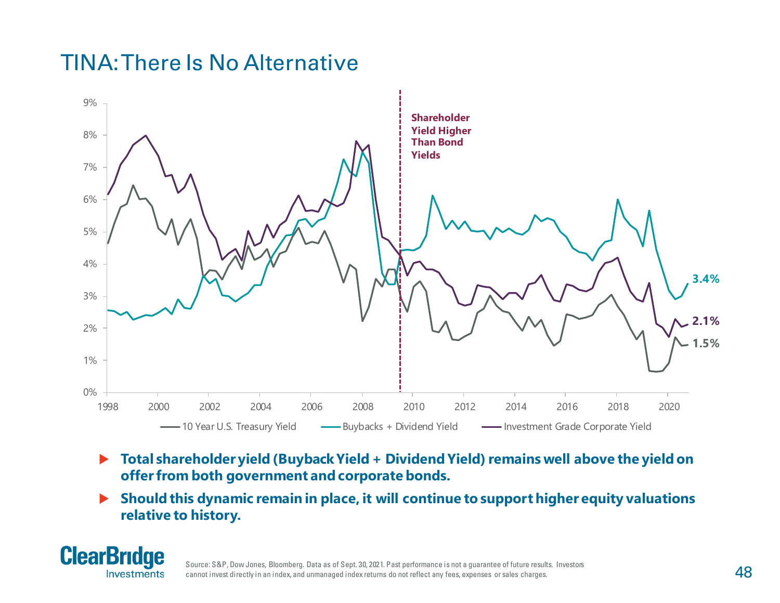#### TINA: There Is No Alternative



- **Total shareholder yield (Buyback Yield + Dividend Yield) remains well above the yield on offer from both government and corporate bonds.**
- **Should this dynamic remain in place, it will continue to support higher equity valuations relative to history.**



Source: S&P, Dow Jones, Bloomberg. Data as of Sept. 30, 2021. Past performance is not a guarantee of future results. Investors cannot invest directly in an index, and unmanaged index returns do not reflect any fees, expenses or sales charges.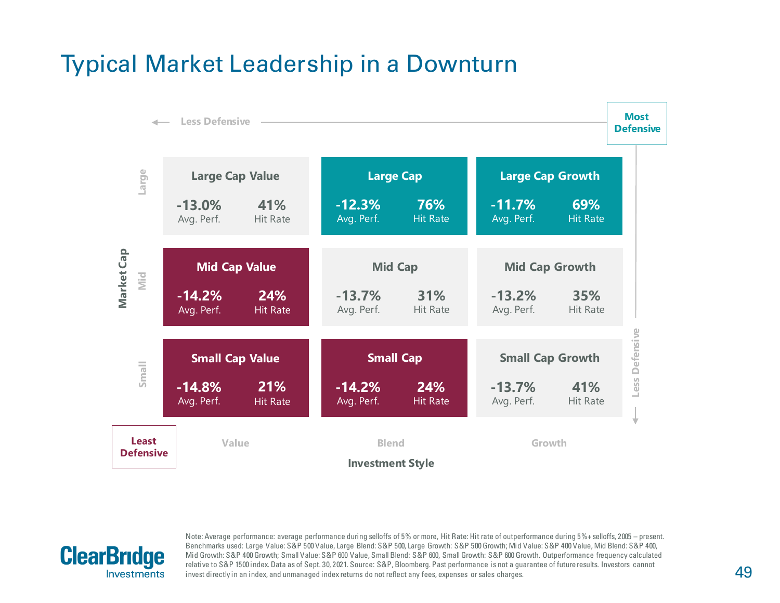#### Typical Market Leadership in a Downturn





Note: Average performance: average performance during selloffs of 5% or more, Hit Rate: Hit rate of outperformance during 5%+ selloffs, 2005 – present. Benchmarks used: Large Value: S&P 500 Value, Large Blend: S&P 500, Large Growth: S&P 500 Growth; Mid Value: S&P 400 Value, Mid Blend: S&P 400, Mid Growth: S&P 400 Growth; Small Value: S&P 600 Value, Small Blend: S&P 600, Small Growth: S&P 600 Growth. Outperformance frequency calculated relative to S&P 1500 index. Data as of Sept. 30, 2021. Source: S&P, Bloomberg. Past performance is not a guarantee of future results. Investors cannot invest directly in an index, and unmanaged index returns do not reflect any fees, expenses or sales charges.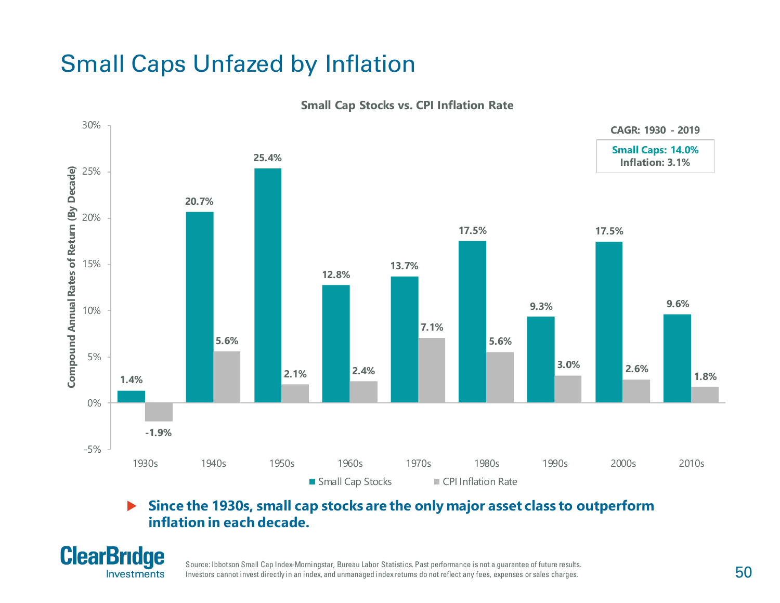## Small Caps Unfazed by Inflation



**Small Cap Stocks vs. CPI Inflation Rate**

#### **Since the 1930s, small cap stocks are the only major asset class to outperform inflation in each decade.**



Source: Ibbotson Small Cap Index-Morningstar, Bureau Labor Statistics. Past performance is not a guarantee of future results. Investors cannot invest directly in an index, and unmanaged index returns do not reflect any fees, expenses or sales charges.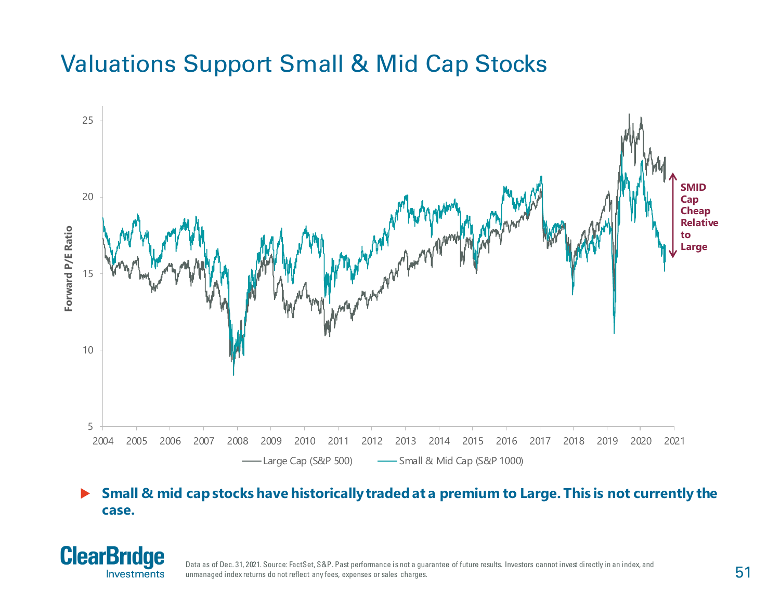### Valuations Support Small & Mid Cap Stocks



#### **►** Small & mid cap stocks have historically traded at a premium to Large. This is not currently the **case.**



Data as of Dec. 31, 2021. Source: FactSet, S&P. Past performance is not a guarantee of future results. Investors cannot invest directly in an index, and unmanaged index returns do not reflect any fees, expenses or sales charges.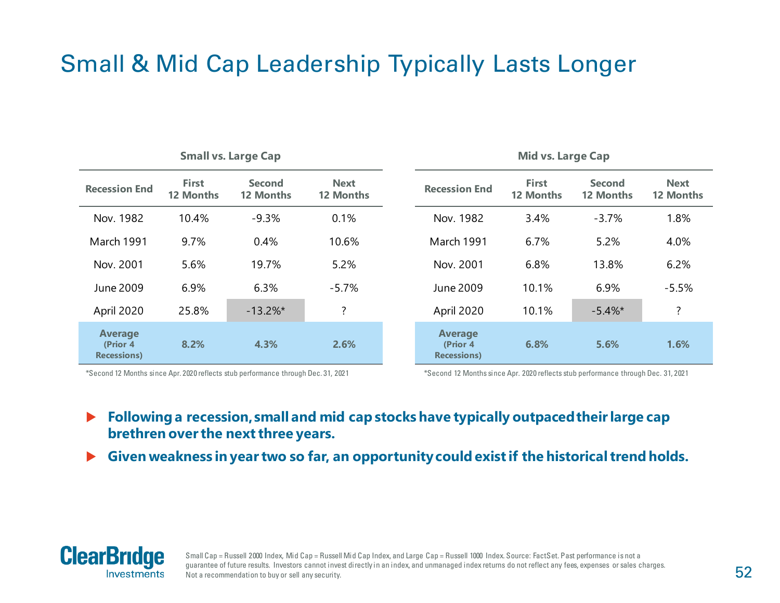## Small & Mid Cap Leadership Typically Lasts Longer

| <b>Small vs. Large Cap</b>                        |                                  |                                   |                                 |  |                                                   | <b>Mid vs. Large Cap</b>  |                            |                          |
|---------------------------------------------------|----------------------------------|-----------------------------------|---------------------------------|--|---------------------------------------------------|---------------------------|----------------------------|--------------------------|
| <b>Recession End</b>                              | <b>First</b><br><b>12 Months</b> | <b>Second</b><br><b>12 Months</b> | <b>Next</b><br><b>12 Months</b> |  | <b>Recession End</b>                              | <b>First</b><br>12 Months | <b>Second</b><br>12 Months | <b>Next</b><br>12 Months |
| Nov. 1982                                         | 10.4%                            | $-9.3%$                           | 0.1%                            |  | Nov. 1982                                         | 3.4%                      | $-3.7%$                    | 1.8%                     |
| March 1991                                        | 9.7%                             | 0.4%                              | 10.6%                           |  | March 1991                                        | 6.7%                      | 5.2%                       | 4.0%                     |
| Nov. 2001                                         | 5.6%                             | 19.7%                             | 5.2%                            |  | Nov. 2001                                         | 6.8%                      | 13.8%                      | 6.2%                     |
| June 2009                                         | 6.9%                             | 6.3%                              | $-5.7%$                         |  | June 2009                                         | 10.1%                     | 6.9%                       | $-5.5%$                  |
| April 2020                                        | 25.8%                            | $-13.2\%$ *                       | ?                               |  | April 2020                                        | 10.1%                     | $-5.4\%$ *                 | $\overline{?}$           |
| <b>Average</b><br>(Prior 4<br><b>Recessions</b> ) | 8.2%                             | 4.3%                              | 2.6%                            |  | <b>Average</b><br>(Prior 4<br><b>Recessions</b> ) | 6.8%                      | 5.6%                       | 1.6%                     |

\*Second 12 Months since Apr. 2020 reflects stub performance through Dec. 31, 2021 \*Second 12 Months since Apr. 2020 reflects stub performance through Dec. 31, 2021

 **Following a recession, small and mid cap stocks have typically outpaced their large cap brethren over the next three years.**

**Given weakness in year two so far, an opportunity could exist if the historical trend holds.**



Small Cap = Russell 2000 Index, Mid Cap = Russell Mid Cap Index, and Large Cap = Russell 1000 Index. Source: FactSet. Past performance is not a guarantee of future results. Investors cannot invest directly in an index, and unmanaged index returns do not reflect any fees, expenses or sales charges. Not a recommendation to buy or sell any security.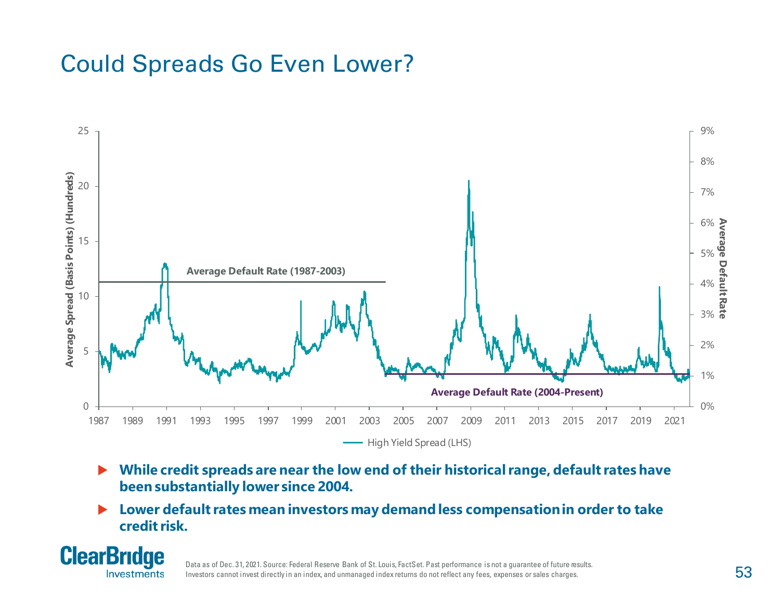### Could Spreads Go Even Lower?



- **While credit spreads are near the low end of their historical range, default rates have been substantially lower since 2004.**
- **Lower default rates mean investors may demand less compensation in order to take credit risk.**



Data as of Dec. 31, 2021. Source: Federal Reserve Bank of St. Louis, FactSet. Past performance is not a guarantee of future results. Investors cannot invest directly in an index, and unmanaged index returns do not reflect any fees, expenses or sales charges.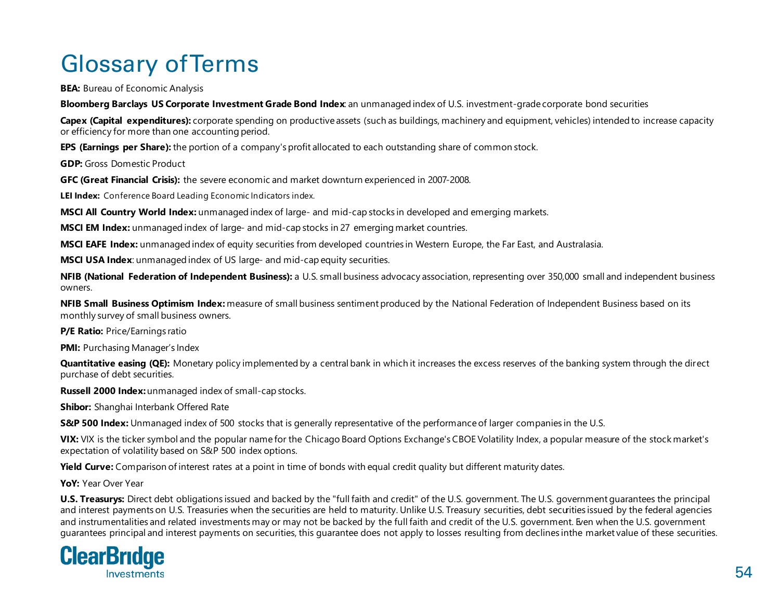# Glossary of Terms

**BEA:** Bureau of Economic Analysis

**Bloomberg Barclays US Corporate Investment Grade Bond Index**: an unmanaged index of U.S. investment-grade corporate bond securities

**Capex (Capital expenditures):** corporate spending on productive assets (such as buildings, machinery and equipment, vehicles) intended to increase capacity or efficiency for more than one accounting period.

**EPS (Earnings per Share):** the portion of a company's profit allocated to each outstanding share of common stock.

**GDP:** Gross Domestic Product

**GFC (Great Financial Crisis):** the severe economic and market downturn experienced in 2007-2008.

**LEI Index:** Conference Board Leading Economic Indicators index.

**MSCI All Country World Index:** unmanaged index of large- and mid-cap stocks in developed and emerging markets.

**MSCI EM Index:** unmanaged index of large- and mid-cap stocks in 27 emerging market countries.

**MSCI EAFE Index:** unmanaged index of equity securities from developed countries in Western Europe, the Far East, and Australasia.

**MSCI USA Index**: unmanaged index of US large- and mid-cap equity securities.

**NFIB (National Federation of Independent Business):** a U.S. small business advocacy association, representing over 350,000 small and independent business owners.

**NFIB Small Business Optimism Index:** measure of small business sentiment produced by the National Federation of Independent Business based on its monthly survey of small business owners.

**P/E Ratio: Price/Earnings ratio** 

**PMI:** Purchasing Manager's Index

**Quantitative easing (QE):** Monetary policy implemented by a central bank in which it increases the excess reserves of the banking system through the direct purchase of debt securities.

**Russell 2000 Index:** unmanaged index of small-cap stocks.

**Shibor:** Shanghai Interbank Offered Rate

**S&P 500 Index:** Unmanaged index of 500 stocks that is generally representative of the performance of larger companies in the U.S.

**VIX:** VIX is the ticker symbol and the popular name for the Chicago Board Options Exchange's CBOE Volatility Index, a popular measure of the stock market's expectation of volatility based on S&P 500 index options.

**Yield Curve:** Comparison of interest rates at a point in time of bonds with equal credit quality but different maturity dates.

**YoY:** Year Over Year

**U.S. Treasurys:** Direct debt obligations issued and backed by the "full faith and credit" of the U.S. government. The U.S. government guarantees the principal and interest payments on U.S. Treasuries when the securities are held to maturity. Unlike U.S. Treasury securities, debt securities issued by the federal agencies and instrumentalities and related investments may or may not be backed by the full faith and credit of the U.S. government. Even when the U.S. government guarantees principal and interest payments on securities, this guarantee does not apply to losses resulting from declines in the market value of these securities.